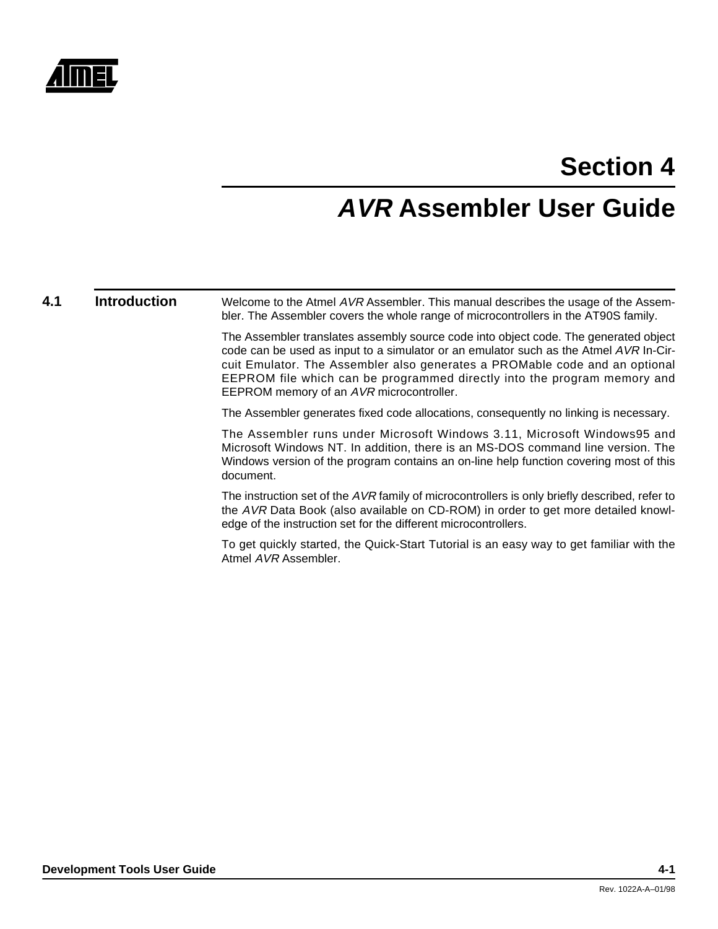

# **Section 4**

# **AVR Assembler User Guide**

**4.1 Introduction** Welcome to the Atmel AVR Assembler. This manual describes the usage of the Assembler. The Assembler covers the whole range of microcontrollers in the AT90S family.

> The Assembler translates assembly source code into object code. The generated object code can be used as input to a simulator or an emulator such as the Atmel  $AVR$  In-Circuit Emulator. The Assembler also generates a PROMable code and an optional EEPROM file which can be programmed directly into the program memory and EEPROM memory of an AVR microcontroller.

The Assembler generates fixed code allocations, consequently no linking is necessary.

The Assembler runs under Microsoft Windows 3.11, Microsoft Windows95 and Microsoft Windows NT. In addition, there is an MS-DOS command line version. The Windows version of the program contains an on-line help function covering most of this document.

The instruction set of the AVR family of microcontrollers is only briefly described, refer to the AVR Data Book (also available on CD-ROM) in order to get more detailed knowledge of the instruction set for the different microcontrollers.

To get quickly started, the Quick-Start Tutorial is an easy way to get familiar with the Atmel AVR Assembler.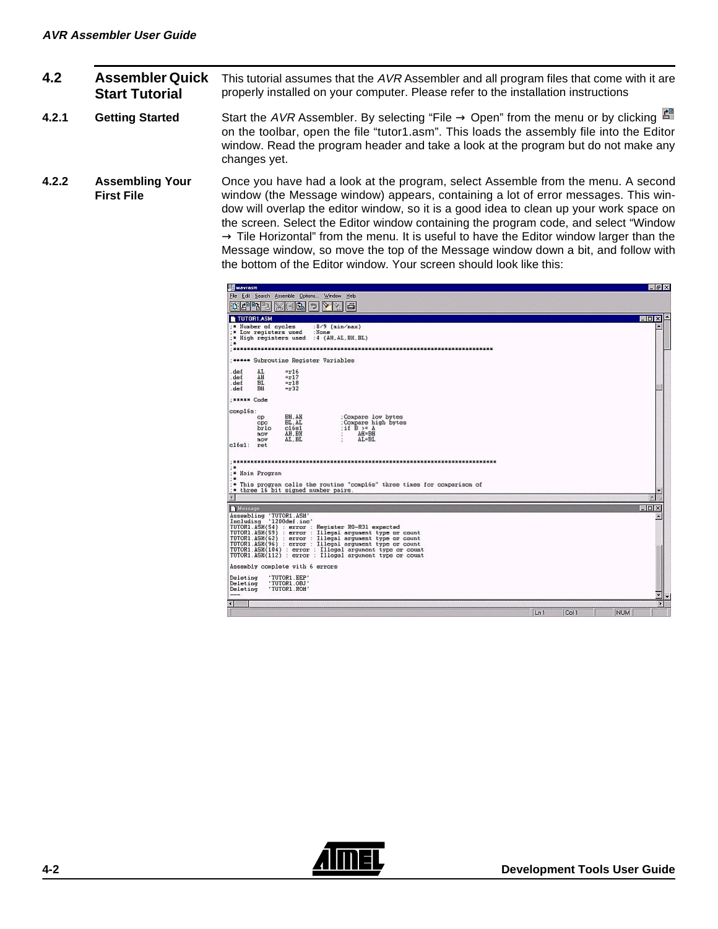**4.2 Assembler Quick Start Tutorial** This tutorial assumes that the  $AVR$  Assembler and all program files that come with it are properly installed on your computer. Please refer to the installation instructions 4.2.1 Getting Started Start the AVR Assembler. By selecting "File → Open" from the menu or by clicking E on the toolbar, open the file "tutor1.asm". This loads the assembly file into the Editor window. Read the program header and take a look at the program but do not make any changes yet. **4.2.2 Assembling Your First File** Once you have had a look at the program, select Assemble from the menu. A second window (the Message window) appears, containing a lot of error messages. This window will overlap the editor window, so it is a good idea to clean up your work space on

the screen. Select the Editor window containing the program code, and select "Window  $\rightarrow$  Tile Horizontal" from the menu. It is useful to have the Editor window larger than the Message window, so move the top of the Message window down a bit, and follow with the bottom of the Editor window. Your screen should look like this:

| <b>MA</b> wavrasm                                                                                                                                                                             | $-02 \times$                          |
|-----------------------------------------------------------------------------------------------------------------------------------------------------------------------------------------------|---------------------------------------|
| Fie Edit Search Assemble Options Window Help<br>四略性<br>a<br>ß.                                                                                                                                |                                       |
| TUTOR1.ASM                                                                                                                                                                                    | <b>EDX</b>                            |
| * Number of cycles<br>: $8/9$ ( $\sin/\max$ )                                                                                                                                                 |                                       |
| :* Low reqisters used<br>$:$ Hone<br>:* High registers used :4 (AH, AL, BH, BL)                                                                                                               |                                       |
| :<br>$-3646$                                                                                                                                                                                  |                                       |
| : ***** Subroutine Register Variables                                                                                                                                                         |                                       |
| .def<br>AL.<br>$=$ r16                                                                                                                                                                        |                                       |
| λH<br>$= 17$<br>de f<br>det<br>BI.<br>$=18$                                                                                                                                                   |                                       |
| BH<br>$-12$<br>. de E                                                                                                                                                                         |                                       |
| : ***** Code                                                                                                                                                                                  |                                       |
| comp16s:                                                                                                                                                                                      |                                       |
| BH.AH<br>:Compare low bytes<br>CD.<br>:Compare high bytes<br>BL.AL<br>CDC                                                                                                                     |                                       |
| $if B \ge A$<br>brlo<br>c16s1<br>AH.BH<br>AH=BH<br>tuov.                                                                                                                                      |                                       |
| AL.BL<br>AL=BL<br>ucov                                                                                                                                                                        |                                       |
| c16s1:<br>ret                                                                                                                                                                                 |                                       |
| $: \mathbb{M} \times$<br>:<br>:* Nain Program<br><b>. *</b><br>:* This progran calls the routine "complés" three times for comparison of<br>:* three 16 bit signed number pairs.<br><b>BY</b> | 啊                                     |
| Message                                                                                                                                                                                       | $=$ $\Box$ $\times$                   |
| Assembling 'TUTOR1.ASM'<br>Including '1200def.inc'                                                                                                                                            |                                       |
| TUTOR1.ASM(54) : error : Register RO-R31 expected                                                                                                                                             |                                       |
| TUTOR1.ASM(59) : error : Illegal argument type or count<br>TUTOR1.ASM(62) : error : Illegal argument type or count                                                                            |                                       |
| TUTOR1.ASM(96) : error : Illegal argument type or count                                                                                                                                       |                                       |
| TUTOR1.ASM(104) : error : Illegal argunent type or count<br>TUTOR1.ASM(112) : error : Illegal argunent type or count                                                                          |                                       |
| Assembly complete with 6 errors                                                                                                                                                               |                                       |
| Deleting<br>'TUTOR1.EEP'                                                                                                                                                                      |                                       |
| 'TUTOR1.OBJ'<br>Deleting<br>'TUTOR1.ROM'<br>Deleting                                                                                                                                          |                                       |
|                                                                                                                                                                                               | ₩                                     |
| $\overline{A}$                                                                                                                                                                                | <b>NUM</b><br>Ln <sub>1</sub><br>Col1 |
|                                                                                                                                                                                               |                                       |

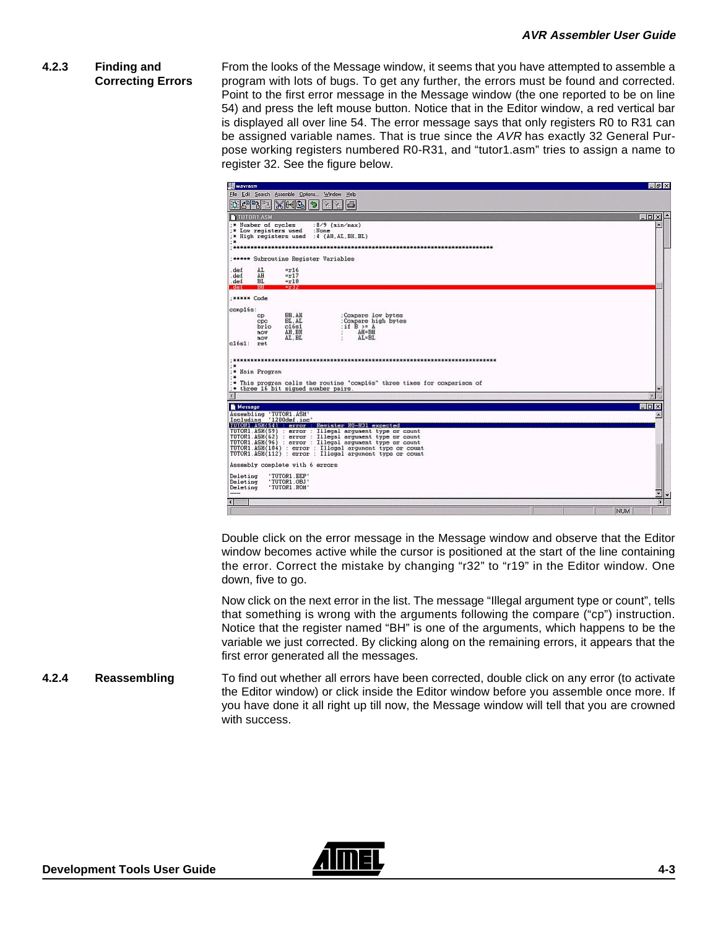# **4.2.3 Finding and Correcting Errors**

From the looks of the Message window, it seems that you have attempted to assemble a program with lots of bugs. To get any further, the errors must be found and corrected. Point to the first error message in the Message window (the one reported to be on line 54) and press the left mouse button. Notice that in the Editor window, a red vertical bar is displayed all over line 54. The error message says that only registers R0 to R31 can be assigned variable names. That is true since the  $AVR$  has exactly 32 General Purpose working registers numbered R0-R31, and "tutor1.asm" tries to assign a name to register 32. See the figure below.

| <b>III</b> wayrasm   |                     |                                                    |                                                                                                                    |                  |
|----------------------|---------------------|----------------------------------------------------|--------------------------------------------------------------------------------------------------------------------|------------------|
|                      |                     |                                                    | File Edit Search Assemble Options Window Help                                                                      |                  |
|                      | e ra                | $X$ M $E$                                          | a<br>Ð<br>IV.                                                                                                      |                  |
|                      |                     |                                                    |                                                                                                                    |                  |
| TUTOR1.ASM           |                     |                                                    |                                                                                                                    | $ \Box$ $\times$ |
|                      | :* Number of cycles | :* Low reqisters used :None                        | $:8/9$ (min/nax)                                                                                                   | ۰                |
| :                    |                     |                                                    | :* High registers used :4 (AH, AL, BH, BL)                                                                         |                  |
| *****                |                     |                                                    | ***************                                                                                                    |                  |
|                      |                     |                                                    | :***** Subroutine Register Variables                                                                               |                  |
| .def                 | AL.                 | $=$ r16                                            |                                                                                                                    |                  |
| .def<br>det          | λH<br>BL            | $=$ $x17$<br>$-18$                                 |                                                                                                                    |                  |
| . det                | EН                  | $-232$                                             |                                                                                                                    |                  |
| : NXNXW Code         |                     |                                                    |                                                                                                                    |                  |
| comp16s:             |                     |                                                    |                                                                                                                    |                  |
|                      | $c_{D}$             | BH.AH                                              | :Compare low bytes                                                                                                 |                  |
|                      | CDC.<br>brlo        | BL.AL<br>c16s1                                     | :Compare high bytes<br>$if B \ge A$                                                                                |                  |
|                      | NOV<br>ucov         | AH.BH<br>AL BL                                     | $\Lambda$ H = BH<br>$AL = BL$                                                                                      |                  |
| c16sl:               | ret                 |                                                    |                                                                                                                    |                  |
|                      |                     |                                                    |                                                                                                                    |                  |
| : 36                 |                     |                                                    |                                                                                                                    |                  |
| : ₩                  | :* Main Program     |                                                    |                                                                                                                    |                  |
|                      |                     |                                                    | :* This program calls the routine "complés" three times for comparison of                                          |                  |
|                      |                     |                                                    | :* three 16 bit signed number pairs.                                                                               |                  |
|                      |                     |                                                    |                                                                                                                    |                  |
| Message              |                     |                                                    |                                                                                                                    | - 0 ×            |
|                      |                     | Assembling 'TUTOR1.ASM'<br>Including '1200def.inc' |                                                                                                                    |                  |
|                      |                     |                                                    | TUTOR1.ASM(54) : error : Register RO-R31 expected<br>TUTOR1.ASM(59) : error : Illegal argument type or count       |                  |
|                      |                     |                                                    | TUTOR1.ASM(62) : error : Illegal argument type or count<br>TUTOR1.ASM(96) : error : Illegal argument type or count |                  |
|                      |                     |                                                    | TUTOR1.ASM(104) : error : Illegal argunent type or count                                                           |                  |
|                      |                     |                                                    | TUTOR1.ASM(112) : error : Illegal argunent type or count                                                           |                  |
|                      |                     |                                                    | Assembly complete with 6 errors                                                                                    |                  |
| Deleting             |                     | 'TUTOR1 EEP'                                       |                                                                                                                    |                  |
| Deleting<br>Deleting |                     | 'TUTOR1.OBJ'<br>'TUTOR1.ROM'                       |                                                                                                                    |                  |
|                      |                     |                                                    |                                                                                                                    | Ξ                |
|                      |                     |                                                    |                                                                                                                    |                  |
|                      |                     |                                                    |                                                                                                                    | NUM              |

Double click on the error message in the Message window and observe that the Editor window becomes active while the cursor is positioned at the start of the line containing the error. Correct the mistake by changing "r32" to "r19" in the Editor window. One down, five to go.

Now click on the next error in the list. The message "Illegal argument type or count", tells that something is wrong with the arguments following the compare ("cp") instruction. Notice that the register named "BH" is one of the arguments, which happens to be the variable we just corrected. By clicking along on the remaining errors, it appears that the first error generated all the messages.

### **4.2.4 Reassembling** To find out whether all errors have been corrected, double click on any error (to activate the Editor window) or click inside the Editor window before you assemble once more. If you have done it all right up till now, the Message window will tell that you are crowned with success.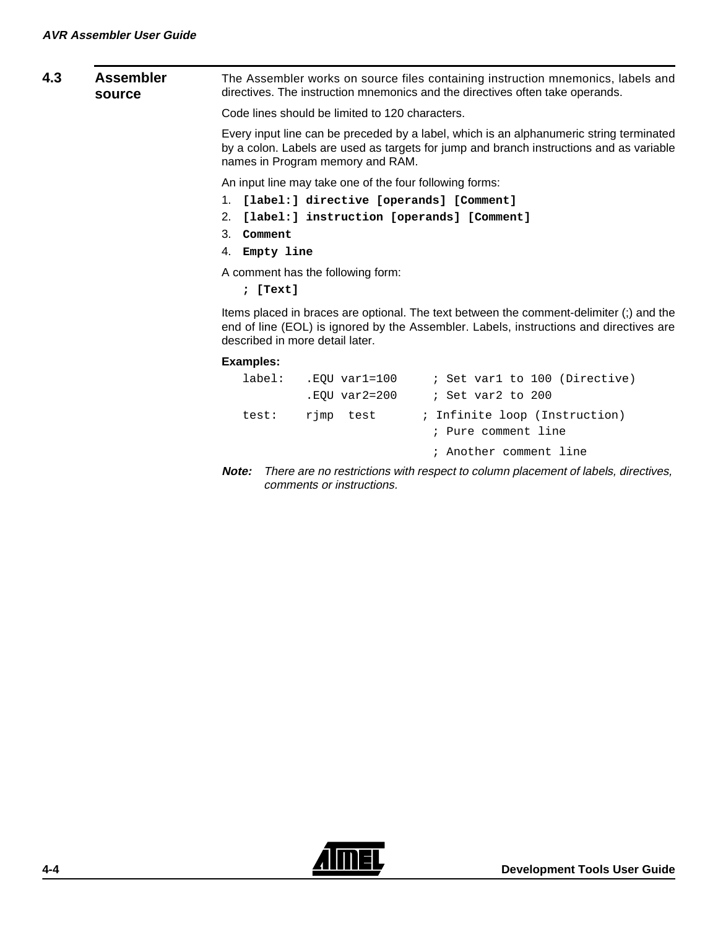**4.3 Assembler source**  The Assembler works on source files containing instruction mnemonics, labels and directives. The instruction mnemonics and the directives often take operands.

Code lines should be limited to 120 characters.

Every input line can be preceded by a label, which is an alphanumeric string terminated by a colon. Labels are used as targets for jump and branch instructions and as variable names in Program memory and RAM.

An input line may take one of the four following forms:

- 1. **[label:] directive [operands] [Comment]**
- 2. **[label:] instruction [operands] [Comment]**
- 3. **Comment**
- 4. **Empty line**

A comment has the following form:

**; [Text]**

Items placed in braces are optional. The text between the comment-delimiter (;) and the end of line (EOL) is ignored by the Assembler. Labels, instructions and directives are described in more detail later.

#### **Examples:**

| label: | EOU var1=100. | ; Set var1 to 100 (Directive)                                                  |
|--------|---------------|--------------------------------------------------------------------------------|
|        | EOU var2=200. | ; Set var2 to 200                                                              |
| test:  | rimp test     | ; Infinite loop (Instruction)                                                  |
|        |               | ; Pure comment line                                                            |
|        |               | ; Another comment line                                                         |
|        |               | ter There are no restrictions with respect to solumn placement of labels, dire |

**Note:** There are no restrictions with respect to column placement of labels, directives, comments or instructions.

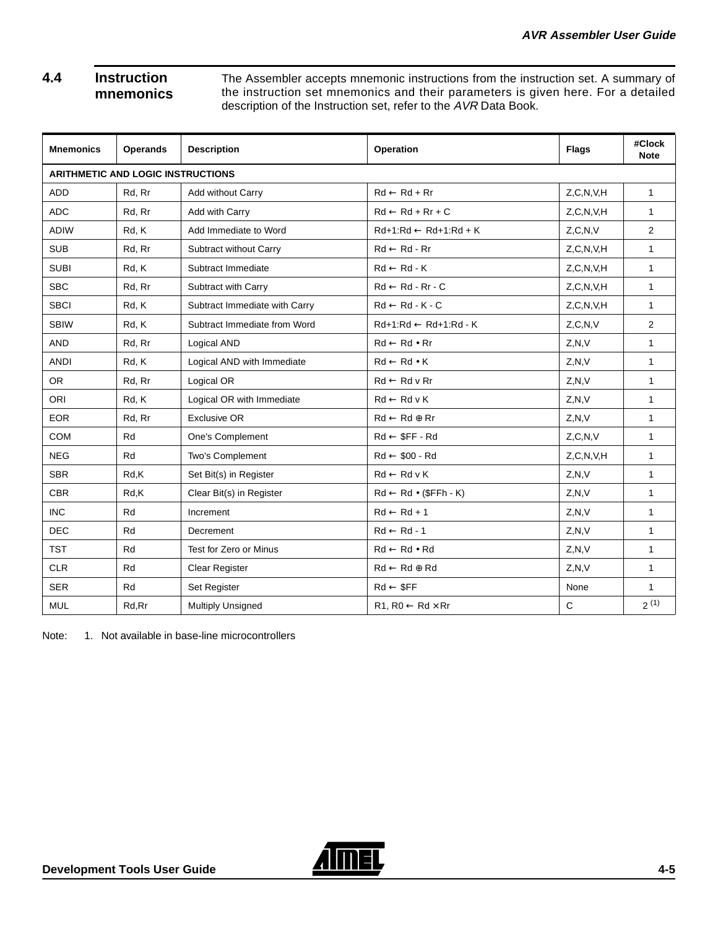# **4.4 Instruction mnemonics**

The Assembler accepts mnemonic instructions from the instruction set. A summary of the instruction set mnemonics and their parameters is given here. For a detailed description of the Instruction set, refer to the AVR Data Book.

| <b>Mnemonics</b> | <b>Operands</b>                          | <b>Description</b>            | Operation                              | <b>Flags</b>  | #Clock<br><b>Note</b> |  |  |  |
|------------------|------------------------------------------|-------------------------------|----------------------------------------|---------------|-----------------------|--|--|--|
|                  | <b>ARITHMETIC AND LOGIC INSTRUCTIONS</b> |                               |                                        |               |                       |  |  |  |
| <b>ADD</b>       | Rd, Rr                                   | Add without Carry             | $Rd \leftarrow Rd + Rr$                | Z, C, N, V, H | $\mathbf{1}$          |  |  |  |
| <b>ADC</b>       | Rd, Rr                                   | Add with Carry                | $Rd \leftarrow Rd + Rr + C$            | Z, C, N, V, H | $\mathbf{1}$          |  |  |  |
| <b>ADIW</b>      | Rd, K                                    | Add Immediate to Word         | $Rd+1:Rd \leftarrow Rd+1:Rd + K$       | Z, C, N, V    | 2                     |  |  |  |
| <b>SUB</b>       | Rd, Rr                                   | Subtract without Carry        | $Rd \leftarrow Rd$ - $Rr$              | Z, C, N, V, H | $\mathbf{1}$          |  |  |  |
| <b>SUBI</b>      | Rd, K                                    | Subtract Immediate            | $Rd \leftarrow Rd - K$                 | Z, C, N, V, H | $\mathbf{1}$          |  |  |  |
| <b>SBC</b>       | Rd, Rr                                   | Subtract with Carry           | $Rd \leftarrow Rd - Rr - C$            | Z, C, N, V, H | $\mathbf{1}$          |  |  |  |
| <b>SBCI</b>      | Rd, K                                    | Subtract Immediate with Carry | $Rd \leftarrow Rd - K - C$             | Z, C, N, V, H | $\mathbf{1}$          |  |  |  |
| <b>SBIW</b>      | Rd, K                                    | Subtract Immediate from Word  | $Rd+1:Rd \leftarrow Rd+1:Rd - K$       | Z, C, N, V    | 2                     |  |  |  |
| <b>AND</b>       | Rd, Rr                                   | Logical AND                   | $Rd \leftarrow Rd \bullet Rr$          | Z, N, V       | $\mathbf{1}$          |  |  |  |
| <b>ANDI</b>      | Rd, K                                    | Logical AND with Immediate    | $Rd \leftarrow Rd \bullet K$           | Z.N.V         | $\mathbf{1}$          |  |  |  |
| <b>OR</b>        | Rd, Rr                                   | Logical OR                    | $Rd \leftarrow Rd$ v Rr                | Z.N.V         | $\mathbf{1}$          |  |  |  |
| <b>ORI</b>       | Rd, K                                    | Logical OR with Immediate     | $Rd \leftarrow Rd \vee K$              | Z.N.V         | $\mathbf{1}$          |  |  |  |
| <b>EOR</b>       | Rd, Rr                                   | <b>Exclusive OR</b>           | $Rd \leftarrow Rd \oplus Rr$           | Z.N.V         | $\mathbf{1}$          |  |  |  |
| COM              | Rd                                       | One's Complement              | $Rd \leftarrow$ \$FF - Rd              | Z, C, N, V    | $\mathbf{1}$          |  |  |  |
| <b>NEG</b>       | Rd                                       | Two's Complement              | $Rd \leftarrow $00 - Rd$               | Z, C, N, V, H | $\mathbf{1}$          |  |  |  |
| <b>SBR</b>       | Rd,K                                     | Set Bit(s) in Register        | $Rd \leftarrow Rd \vee K$              | Z.N.V         | $\mathbf{1}$          |  |  |  |
| <b>CBR</b>       | Rd,K                                     | Clear Bit(s) in Register      | $Rd \leftarrow Rd \bullet (\$FFh - K)$ | Z.N.V         | $\mathbf{1}$          |  |  |  |
| <b>INC</b>       | Rd                                       | Increment                     | $Rd \leftarrow Rd + 1$                 | Z, N, V       | $\mathbf{1}$          |  |  |  |
| <b>DEC</b>       | Rd                                       | Decrement                     | $Rd \leftarrow Rd - 1$                 | Z, N, V       | $\mathbf{1}$          |  |  |  |
| <b>TST</b>       | Rd                                       | Test for Zero or Minus        | $Rd \leftarrow Rd \bullet Rd$          | Z.N.V         | $\mathbf{1}$          |  |  |  |
| <b>CLR</b>       | Rd                                       | Clear Register                | $Rd \leftarrow Rd \oplus Rd$           | Z.N.V         | $\mathbf{1}$          |  |  |  |
| <b>SER</b>       | Rd                                       | Set Register                  | $Rd \leftarrow$ \$FF                   | None          | $\mathbf{1}$          |  |  |  |
| <b>MUL</b>       | Rd, Rr                                   | <b>Multiply Unsigned</b>      | $R1, R0 \leftarrow Rd \times Rr$       | $\mathbf C$   | $2^{(1)}$             |  |  |  |

Note: 1. Not available in base-line microcontrollers

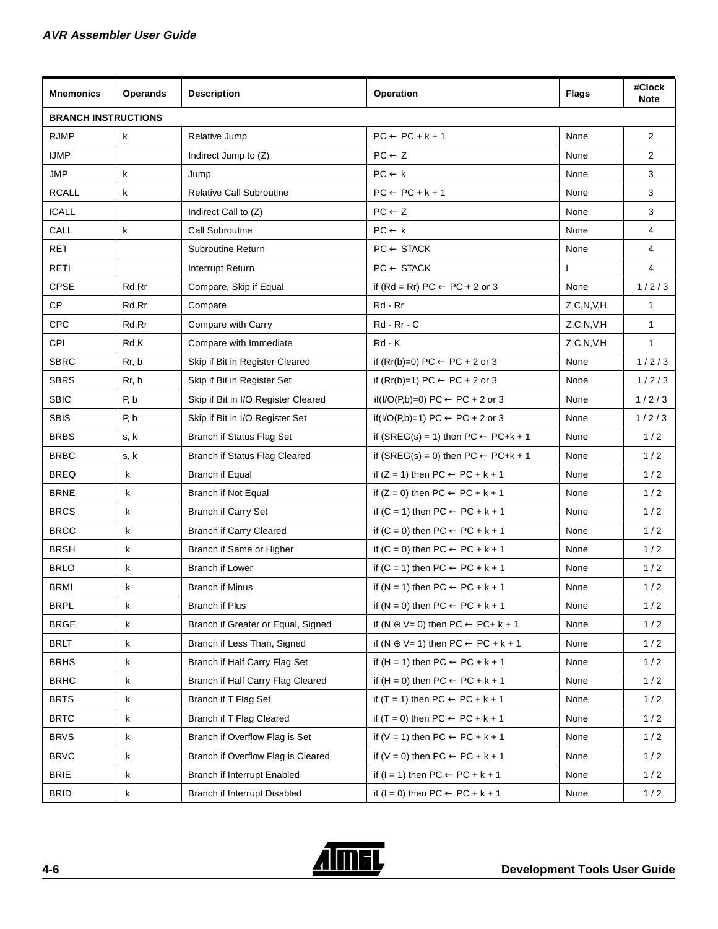| <b>Mnemonics</b>           | <b>Operands</b> | <b>Description</b>                   | Operation                                             | <b>Flags</b>  | #Clock<br><b>Note</b> |
|----------------------------|-----------------|--------------------------------------|-------------------------------------------------------|---------------|-----------------------|
| <b>BRANCH INSTRUCTIONS</b> |                 |                                      |                                                       |               |                       |
| <b>RJMP</b>                | k               | Relative Jump                        | $PC \leftarrow PC + k + 1$                            | None          | $\overline{2}$        |
| <b>IJMP</b>                |                 | Indirect Jump to (Z)                 | $PC \leftarrow Z$                                     | None          | $\overline{2}$        |
| <b>JMP</b>                 | k               | Jump                                 | $PC \leftarrow k$                                     | None          | 3                     |
| <b>RCALL</b>               | k               | <b>Relative Call Subroutine</b>      | $PC \leftarrow PC + k + 1$                            | None          | 3                     |
| <b>ICALL</b>               |                 | Indirect Call to (Z)                 | $PC \leftarrow Z$                                     | None          | 3                     |
| CALL                       | k               | <b>Call Subroutine</b>               | $PC \leftarrow k$                                     | None          | 4                     |
| <b>RET</b>                 |                 | Subroutine Return                    | $PC \leftarrow$ STACK                                 | None          | 4                     |
| RETI                       |                 | Interrupt Return                     | $PC \leftarrow$ STACK                                 | -1            | $\overline{4}$        |
| <b>CPSE</b>                | Rd,Rr           | Compare, Skip if Equal               | if $(Rd = Rr) PC \leftarrow PC + 2$ or 3              | None          | 1/2/3                 |
| <b>CP</b>                  | Rd, Rr          | Compare                              | Rd - Rr                                               | Z, C, N, V, H | $\mathbf{1}$          |
| <b>CPC</b>                 | Rd, Rr          | Compare with Carry                   | $Rd - Rr - C$                                         | Z, C, N, V, H | $\mathbf{1}$          |
| CPI                        | Rd,K            | Compare with Immediate               | $Rd - K$                                              | Z, C, N, V, H | $\mathbf{1}$          |
| <b>SBRC</b>                | Rr, b           | Skip if Bit in Register Cleared      | if $(Rr(b)=0) PC \leftarrow PC + 2$ or 3              | None          | 1/2/3                 |
| <b>SBRS</b>                | Rr, b           | Skip if Bit in Register Set          | if $(Rr(b)=1) PC \leftarrow PC + 2$ or 3              | None          | 1/2/3                 |
| <b>SBIC</b>                | P, b            | Skip if Bit in I/O Register Cleared  | if(I/O(P,b)=0) PC $\leftarrow$ PC + 2 or 3            | None          | 1/2/3                 |
| <b>SBIS</b>                | P, b            | Skip if Bit in I/O Register Set      | if(I/O(P,b)=1) PC $\leftarrow$ PC + 2 or 3            | None          | 1/2/3                 |
| <b>BRBS</b>                | s, k            | <b>Branch if Status Flag Set</b>     | if (SREG(s) = 1) then $PC \leftarrow PC+ k + 1$       | None          | 1/2                   |
| <b>BRBC</b>                | s, k            | <b>Branch if Status Flag Cleared</b> | if (SREG(s) = 0) then $PC \leftarrow PC+ k + 1$       |               | 1/2                   |
| <b>BREQ</b>                | k               | <b>Branch if Equal</b>               | if $(Z = 1)$ then $PC \leftarrow PC + k + 1$          | None          | 1/2                   |
| <b>BRNE</b>                | k               | <b>Branch if Not Equal</b>           | if $(Z = 0)$ then PC $\leftarrow$ PC + k + 1          | None          | 1/2                   |
| <b>BRCS</b>                | k               | <b>Branch if Carry Set</b>           | if $(C = 1)$ then $PC \leftarrow PC + k + 1$          | None          | 1/2                   |
| <b>BRCC</b>                | k               | <b>Branch if Carry Cleared</b>       | if $(C = 0)$ then $PC \leftarrow PC + k + 1$          | None          | 1/2                   |
| <b>BRSH</b>                | k               | Branch if Same or Higher             | if $(C = 0)$ then $PC \leftarrow PC + k + 1$          | None          | 1/2                   |
| <b>BRLO</b>                | k               | <b>Branch if Lower</b>               | if $(C = 1)$ then $PC \leftarrow PC + k + 1$          | None          | 1/2                   |
| <b>BRMI</b>                | k               | <b>Branch if Minus</b>               | if $(N = 1)$ then $PC \leftarrow PC + k + 1$          | None          | 1/2                   |
| BRPL                       | k               | <b>Branch if Plus</b>                | if $(N = 0)$ then $PC \leftarrow PC + k + 1$          | None          | 1/2                   |
| <b>BRGE</b>                | k               | Branch if Greater or Equal, Signed   | if $(N \oplus V = 0)$ then $PC \leftarrow PC + k + 1$ | None          | 1/2                   |
| <b>BRLT</b>                | k               | Branch if Less Than, Signed          | if (N $\oplus$ V= 1) then PC $\leftarrow$ PC + k + 1  | None          | 1/2                   |
| <b>BRHS</b>                | k               | Branch if Half Carry Flag Set        | if $(H = 1)$ then $PC \leftarrow PC + k + 1$          | None          | 1/2                   |
| <b>BRHC</b>                | k               | Branch if Half Carry Flag Cleared    | if $(H = 0)$ then $PC \leftarrow PC + k + 1$          | None          | 1/2                   |
| <b>BRTS</b>                | k               | Branch if T Flag Set                 | if $(T = 1)$ then PC $\leftarrow$ PC + k + 1          | None          | 1/2                   |
| <b>BRTC</b>                | k               | Branch if T Flag Cleared             | if $(T = 0)$ then PC $\leftarrow$ PC + k + 1          | None          | 1/2                   |
| <b>BRVS</b>                | k               | Branch if Overflow Flag is Set       | if $(V = 1)$ then $PC \leftarrow PC + k + 1$          | None          | 1/2                   |
| <b>BRVC</b>                | k               | Branch if Overflow Flag is Cleared   | if $(V = 0)$ then $PC \leftarrow PC + k + 1$          | None          | 1/2                   |
| <b>BRIE</b>                | k               | <b>Branch if Interrupt Enabled</b>   | if ( $I = 1$ ) then $PC \leftarrow PC + k + 1$        | None          | 1/2                   |
| <b>BRID</b>                | k               | <b>Branch if Interrupt Disabled</b>  | if $(I = 0)$ then $PC \leftarrow PC + k + 1$          | None          | 1/2                   |

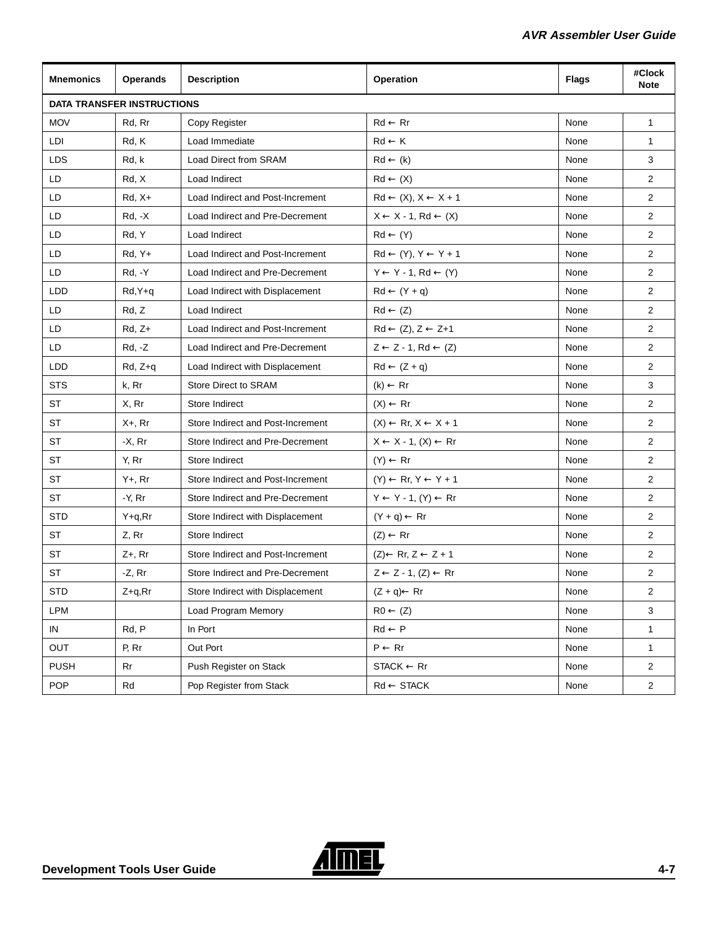| <b>Mnemonics</b>                  | <b>Operands</b> | <b>Description</b>                | Operation                                        | <b>Flags</b> | #Clock<br><b>Note</b> |  |  |  |
|-----------------------------------|-----------------|-----------------------------------|--------------------------------------------------|--------------|-----------------------|--|--|--|
| <b>DATA TRANSFER INSTRUCTIONS</b> |                 |                                   |                                                  |              |                       |  |  |  |
| <b>MOV</b>                        | Rd, Rr          | Copy Register                     | $Rd \leftarrow Rr$                               | None         | 1                     |  |  |  |
| LDI                               | Rd, K           | Load Immediate                    | $Rd \leftarrow K$                                | None         | $\mathbf{1}$          |  |  |  |
| <b>LDS</b>                        | Rd, k           | Load Direct from SRAM             | $Rd \leftarrow (k)$                              | None         | 3                     |  |  |  |
| LD                                | Rd, X           | Load Indirect                     | $Rd \leftarrow (X)$                              | None         | 2                     |  |  |  |
| LD                                | $Rd, X+$        | Load Indirect and Post-Increment  | $Rd \leftarrow (X), X \leftarrow X + 1$          | None         | $\overline{2}$        |  |  |  |
| LD                                | $Rd, -X$        | Load Indirect and Pre-Decrement   | $X \leftarrow X - 1$ , Rd $\leftarrow (X)$       | None         | $\overline{2}$        |  |  |  |
| LD                                | Rd, Y           | Load Indirect                     | $Rd \leftarrow (Y)$                              | None         | 2                     |  |  |  |
| LD                                | $Rd, Y+$        | Load Indirect and Post-Increment  | $Rd \leftarrow (Y), Y \leftarrow Y + 1$          | None         | $\overline{2}$        |  |  |  |
| LD                                | Rd, -Y          | Load Indirect and Pre-Decrement   | $Y \leftarrow Y - 1$ , Rd $\leftarrow (Y)$       | None         | $\overline{2}$        |  |  |  |
| LDD                               | $Rd, Y+q$       | Load Indirect with Displacement   | $Rd \leftarrow (Y + q)$                          | None         | $\overline{2}$        |  |  |  |
| LD                                | Rd, Z           | Load Indirect                     | $Rd \leftarrow (Z)$                              | None         | $\overline{2}$        |  |  |  |
| LD                                | $Rd, Z+$        | Load Indirect and Post-Increment  | $Rd \leftarrow (Z), Z \leftarrow Z+1$            | None         | $\overline{2}$        |  |  |  |
| LD                                | <b>Rd, -Z</b>   | Load Indirect and Pre-Decrement   | $Z \leftarrow Z - 1$ , Rd $\leftarrow (Z)$       | None         | $\overline{2}$        |  |  |  |
| LDD                               | $Rd, Z+q$       | Load Indirect with Displacement   | $Rd \leftarrow (Z + q)$                          | None         | $\overline{2}$        |  |  |  |
| <b>STS</b>                        | k, Rr           | <b>Store Direct to SRAM</b>       | $(k) \leftarrow Rr$                              | None         | 3                     |  |  |  |
| <b>ST</b>                         | X, Rr           | Store Indirect                    | $(X) \leftarrow Rr$                              | None         | $\overline{2}$        |  |  |  |
| ST                                | $X +$ , Rr      | Store Indirect and Post-Increment | $(X) \leftarrow \mathsf{Rr}, X \leftarrow X + 1$ | None         | $\overline{2}$        |  |  |  |
| <b>ST</b>                         | $-X$ , $Rr$     | Store Indirect and Pre-Decrement  | $X \leftarrow X - 1$ , $(X) \leftarrow Rr$       | None         | $\overline{2}$        |  |  |  |
| <b>ST</b>                         | Y, Rr           | Store Indirect                    | $(Y) \leftarrow Rr$                              | None         | 2                     |  |  |  |
| ST                                | $Y_{+}$ , Rr    | Store Indirect and Post-Increment | $(Y) \leftarrow Rr, Y \leftarrow Y + 1$          | None         | $\overline{2}$        |  |  |  |
| <b>ST</b>                         | $-Y$ , $Rr$     | Store Indirect and Pre-Decrement  | $Y \leftarrow Y - 1, (Y) \leftarrow Rr$          | None         | $\overline{2}$        |  |  |  |
| <b>STD</b>                        | $Y+q, Rr$       | Store Indirect with Displacement  | $(Y + q) \leftarrow Rr$                          | None         | 2                     |  |  |  |
| ST                                | Z, Rr           | Store Indirect                    | $(Z) \leftarrow \mathsf{R}r$                     | None         | $\overline{2}$        |  |  |  |
| <b>ST</b>                         | $Z+$ , Rr       | Store Indirect and Post-Increment | $(Z) \leftarrow Rr, Z \leftarrow Z + 1$          | None         | $\overline{2}$        |  |  |  |
| <b>ST</b>                         | $-Z$ , Rr       | Store Indirect and Pre-Decrement  | $Z \leftarrow Z - 1, (Z) \leftarrow Rr$          | None         | $\overline{2}$        |  |  |  |
| STD                               | Z+q,Rr          | Store Indirect with Displacement  | $(Z + q) \leftarrow Rr$                          | None         | 2                     |  |  |  |
| <b>LPM</b>                        |                 | Load Program Memory               | $R0 \leftarrow (Z)$                              | None         | 3                     |  |  |  |
| IN                                | Rd, P           | In Port                           | $Rd \leftarrow P$                                | None         | $\mathbf{1}$          |  |  |  |
| <b>OUT</b>                        | P, Rr           | Out Port                          | $P \leftarrow Rr$                                | None         | $\mathbf 1$           |  |  |  |
| <b>PUSH</b>                       | <b>Rr</b>       | Push Register on Stack            | $STATEK \leftarrow Rr$                           | None         | $\overline{2}$        |  |  |  |
| <b>POP</b>                        | Rd              | Pop Register from Stack           | $\mathsf{Rd} \leftarrow \mathsf{STACK}$          | None         | $\overline{2}$        |  |  |  |

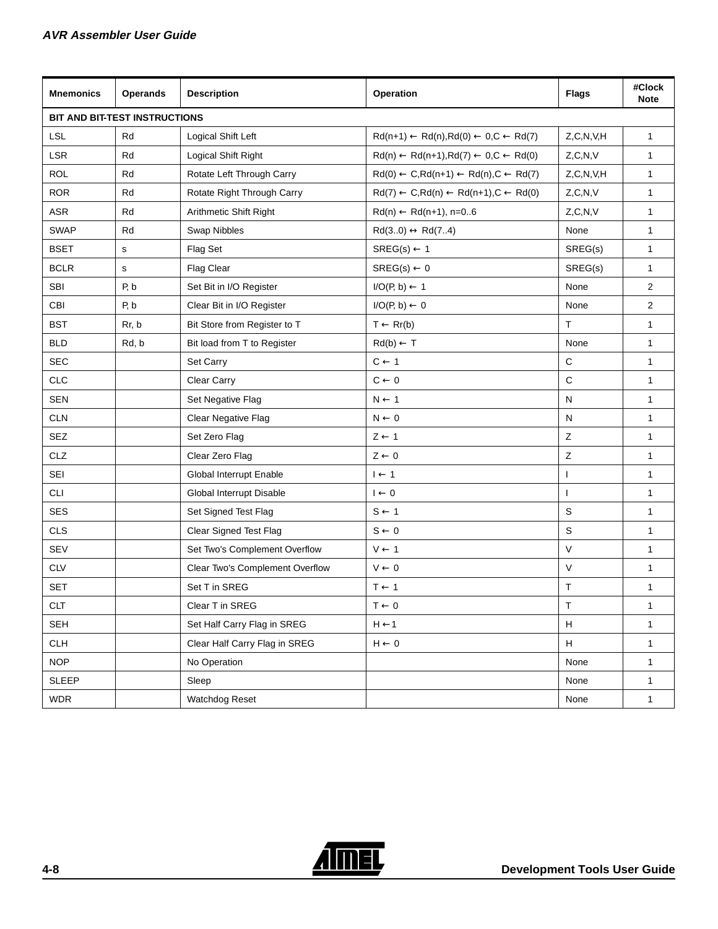| <b>Mnemonics</b> | <b>Operands</b>               | <b>Description</b>              | Operation                                                          |                | #Clock<br><b>Note</b> |  |  |  |
|------------------|-------------------------------|---------------------------------|--------------------------------------------------------------------|----------------|-----------------------|--|--|--|
|                  | BIT AND BIT-TEST INSTRUCTIONS |                                 |                                                                    |                |                       |  |  |  |
| LSL              | Rd                            | Logical Shift Left              | $Rd(n+1) \leftarrow Rd(n), Rd(0) \leftarrow 0, C \leftarrow Rd(7)$ | Z, C, N, V, H  | $\mathbf{1}$          |  |  |  |
| <b>LSR</b>       | Rd                            | <b>Logical Shift Right</b>      | $Rd(n) \leftarrow Rd(n+1), Rd(7) \leftarrow 0, C \leftarrow Rd(0)$ | Z, C, N, V     | 1                     |  |  |  |
| <b>ROL</b>       | Rd                            | Rotate Left Through Carry       | $Rd(0) \leftarrow C, Rd(n+1) \leftarrow Rd(n), C \leftarrow Rd(7)$ | Z, C, N, V, H  | $\mathbf{1}$          |  |  |  |
| <b>ROR</b>       | Rd                            | Rotate Right Through Carry      | $Rd(7) \leftarrow C, Rd(n) \leftarrow Rd(n+1), C \leftarrow Rd(0)$ | Z, C, N, V     | $\mathbf{1}$          |  |  |  |
| ASR              | Rd                            | Arithmetic Shift Right          | $Rd(n) \leftarrow Rd(n+1), n=06$                                   | Z, C, N, V     | $\mathbf{1}$          |  |  |  |
| <b>SWAP</b>      | Rd                            | Swap Nibbles                    | $Rd(30) \leftrightarrow Rd(74)$                                    | None           | $\mathbf{1}$          |  |  |  |
| <b>BSET</b>      | s                             | Flag Set                        | $SREG(s) \leftarrow 1$                                             | SREG(s)        | $\mathbf{1}$          |  |  |  |
| <b>BCLR</b>      | s                             | <b>Flag Clear</b>               | $SREG(s) \leftarrow 0$                                             | SREG(s)        | $\mathbf{1}$          |  |  |  |
| <b>SBI</b>       | P, b                          | Set Bit in I/O Register         | $I/O(P, b) \leftarrow 1$                                           | None           | $\overline{2}$        |  |  |  |
| <b>CBI</b>       | P, b                          | Clear Bit in I/O Register       | $I/O(P, b) \leftarrow 0$                                           | None           | $\overline{2}$        |  |  |  |
| <b>BST</b>       | Rr, b                         | Bit Store from Register to T    | $T \leftarrow Rr(b)$                                               | T.             | 1                     |  |  |  |
| <b>BLD</b>       | Rd, b                         | Bit load from T to Register     | $Rd(b) \leftarrow T$                                               | None           | $\mathbf{1}$          |  |  |  |
| <b>SEC</b>       |                               | Set Carry                       | $C \leftarrow 1$                                                   | $\mathbf C$    | $\mathbf{1}$          |  |  |  |
| <b>CLC</b>       |                               | Clear Carry                     | $C \leftarrow 0$                                                   | $\mathsf C$    | $\mathbf{1}$          |  |  |  |
| <b>SEN</b>       |                               | Set Negative Flag               | $N \leftarrow 1$                                                   | ${\sf N}$      | $\mathbf{1}$          |  |  |  |
| <b>CLN</b>       |                               | Clear Negative Flag             | $N \leftarrow 0$                                                   | ${\sf N}$      | $\mathbf{1}$          |  |  |  |
| SEZ              |                               | Set Zero Flag                   | $Z \leftarrow 1$                                                   | Z              | $\mathbf{1}$          |  |  |  |
| CLZ              |                               | Clear Zero Flag                 | $Z \leftarrow 0$                                                   | $\mathsf{Z}$   | $\mathbf{1}$          |  |  |  |
| <b>SEI</b>       |                               | Global Interrupt Enable         | $I \leftarrow 1$                                                   | $\mathbf{I}$   | $\mathbf{1}$          |  |  |  |
| <b>CLI</b>       |                               | Global Interrupt Disable        | $I \leftarrow 0$                                                   | $\overline{1}$ | $\mathbf{1}$          |  |  |  |
| <b>SES</b>       |                               | Set Signed Test Flag            | $S \leftarrow 1$                                                   | $\mathbb S$    | $\mathbf{1}$          |  |  |  |
| <b>CLS</b>       |                               | <b>Clear Signed Test Flag</b>   | $S \leftarrow 0$                                                   | $\mathbb S$    | $\mathbf{1}$          |  |  |  |
| SEV              |                               | Set Two's Complement Overflow   | $V \leftarrow 1$                                                   | $\vee$         | $\mathbf{1}$          |  |  |  |
| <b>CLV</b>       |                               | Clear Two's Complement Overflow | $V \leftarrow 0$                                                   | $\lor$         | $\mathbf{1}$          |  |  |  |
| <b>SET</b>       |                               | Set T in SREG                   | $T \leftarrow 1$                                                   | $\mathsf T$    | $\mathbf{1}$          |  |  |  |
| <b>CLT</b>       |                               | Clear T in SREG                 | $\mathsf{T}\leftarrow\mathsf{0}$                                   | Т              | $\mathbf{1}$          |  |  |  |
| <b>SEH</b>       |                               | Set Half Carry Flag in SREG     | $H \leftarrow 1$                                                   | H              | $\mathbf{1}$          |  |  |  |
| <b>CLH</b>       |                               | Clear Half Carry Flag in SREG   | $\mathsf{H}\leftarrow\mathsf{0}$                                   | H              | $\mathbf{1}$          |  |  |  |
| <b>NOP</b>       |                               | No Operation                    |                                                                    | None           | $\mathbf{1}$          |  |  |  |
| <b>SLEEP</b>     |                               | Sleep                           |                                                                    | None           | $\mathbf{1}$          |  |  |  |
| <b>WDR</b>       |                               | Watchdog Reset                  |                                                                    | None           | $\mathbf{1}$          |  |  |  |

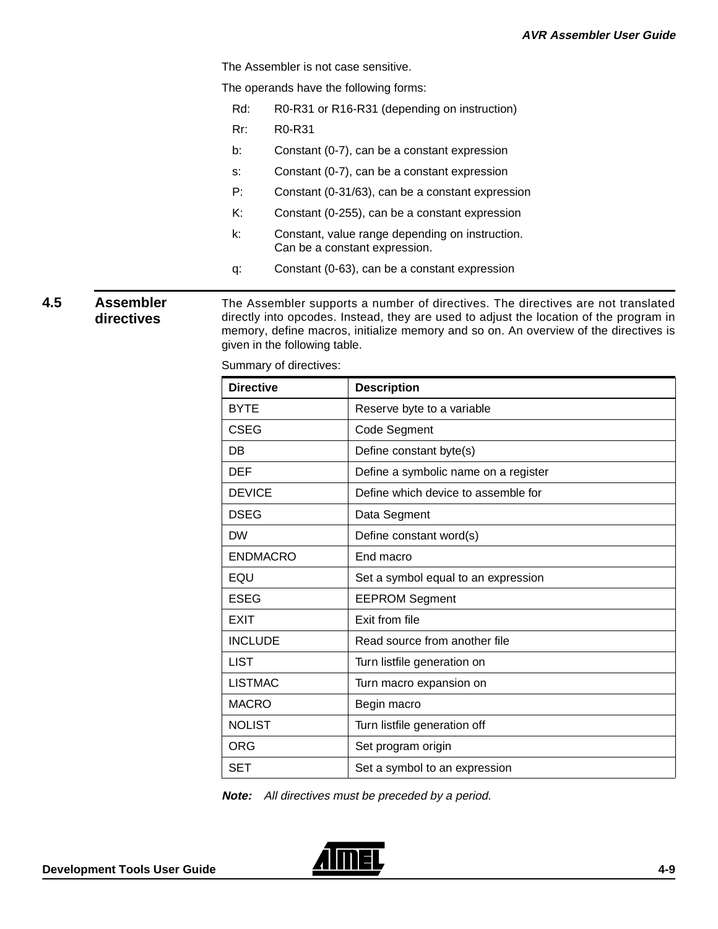The Assembler is not case sensitive.

The operands have the following forms:

- Rd: R0-R31 or R16-R31 (depending on instruction)
- Rr: R0-R31
- b: Constant (0-7), can be a constant expression
- s: Constant (0-7), can be a constant expression
- P: Constant (0-31/63), can be a constant expression
- K: Constant (0-255), can be a constant expression
- k: Constant, value range depending on instruction. Can be a constant expression.
- q: Constant (0-63), can be a constant expression

**4.5 Assembler directives**

The Assembler supports a number of directives. The directives are not translated directly into opcodes. Instead, they are used to adjust the location of the program in memory, define macros, initialize memory and so on. An overview of the directives is given in the following table.

Summary of directives:

| <b>Directive</b> | <b>Description</b>                   |
|------------------|--------------------------------------|
| <b>BYTE</b>      | Reserve byte to a variable           |
| <b>CSEG</b>      | Code Segment                         |
| DB               | Define constant byte(s)              |
| <b>DEF</b>       | Define a symbolic name on a register |
| <b>DEVICE</b>    | Define which device to assemble for  |
| <b>DSEG</b>      | Data Segment                         |
| <b>DW</b>        | Define constant word(s)              |
| <b>ENDMACRO</b>  | End macro                            |
| EQU              | Set a symbol equal to an expression  |
| <b>ESEG</b>      | <b>EEPROM Segment</b>                |
| <b>EXIT</b>      | Exit from file                       |
| <b>INCLUDE</b>   | Read source from another file        |
| <b>LIST</b>      | Turn listfile generation on          |
| <b>LISTMAC</b>   | Turn macro expansion on              |
| <b>MACRO</b>     | Begin macro                          |
| <b>NOLIST</b>    | Turn listfile generation off         |
| ORG              | Set program origin                   |
| SET              | Set a symbol to an expression        |

**Note:** All directives must be preceded by a period.

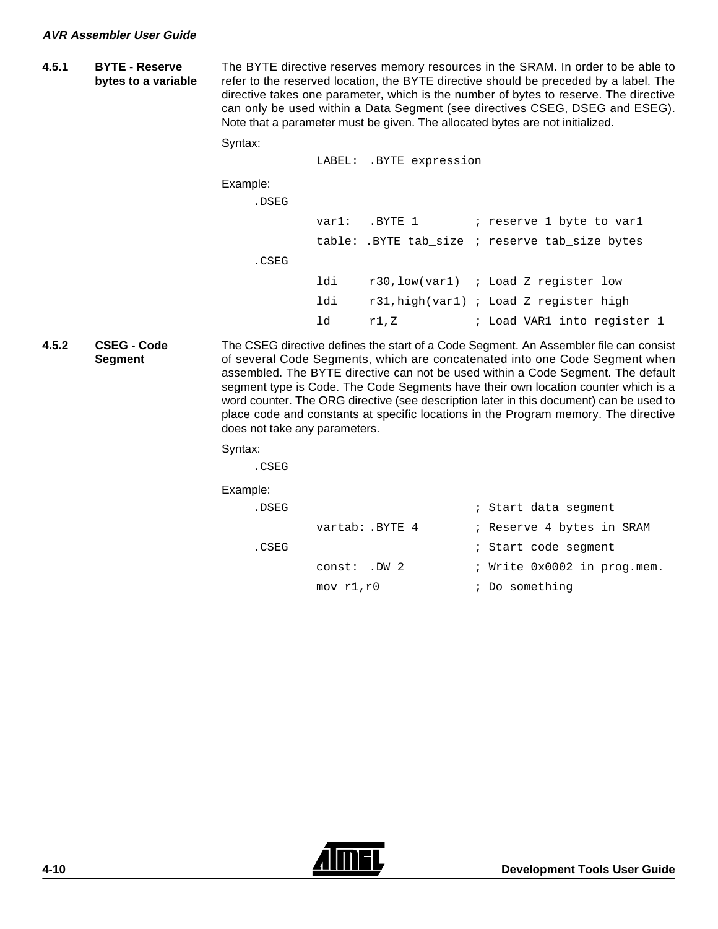**4.5.1 BYTE - Reserve bytes to a variable** The BYTE directive reserves memory resources in the SRAM. In order to be able to refer to the reserved location, the BYTE directive should be preceded by a label. The directive takes one parameter, which is the number of bytes to reserve. The directive can only be used within a Data Segment (see directives CSEG, DSEG and ESEG). Note that a parameter must be given. The allocated bytes are not initialized.

Syntax:

LABEL: .BYTE expression

Example:

 $\cdot$   $\Gamma$ 

| .DSEG |     |                   |                                                |
|-------|-----|-------------------|------------------------------------------------|
|       |     | $var1$ : $BYTE$ 1 | ; reserve 1 byte to var1                       |
|       |     |                   | table: .BYTE tab size ; reserve tab size bytes |
| .CSEG |     |                   |                                                |
|       | ldi |                   | r30, low(var1) ; Load Z register low           |
|       | ldi |                   | r31, high(var1) ; Load Z register high         |
|       | ld  | r1, z             | ; Load VAR1 into register 1                    |

**4.5.2 CSEG - Code Segment** The CSEG directive defines the start of a Code Segment. An Assembler file can consist of several Code Segments, which are concatenated into one Code Segment when assembled. The BYTE directive can not be used within a Code Segment. The default segment type is Code. The Code Segments have their own location counter which is a word counter. The ORG directive (see description later in this document) can be used to place code and constants at specific locations in the Program memory. The directive does not take any parameters.

Syntax:

.CSEG

Example:

| ; Reserve 4 bytes in SRAM   |
|-----------------------------|
|                             |
| ; Write 0x0002 in prog.mem. |
|                             |
|                             |

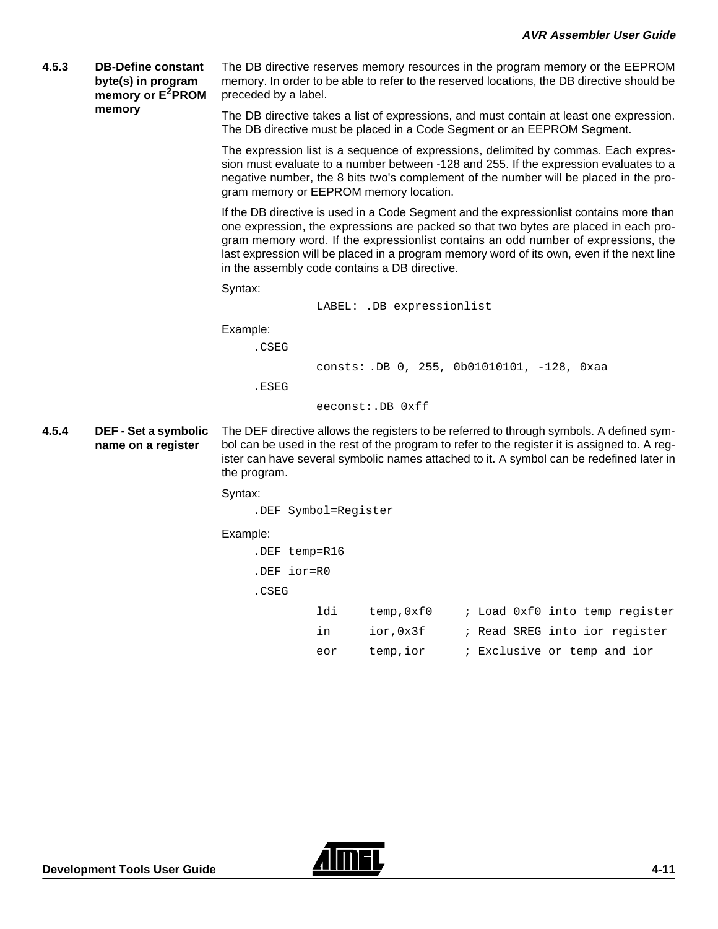## **4.5.3 DB-Define constant byte(s) in program memory or E2PROM memory**

The DB directive reserves memory resources in the program memory or the EEPROM memory. In order to be able to refer to the reserved locations, the DB directive should be preceded by a label.

The DB directive takes a list of expressions, and must contain at least one expression. The DB directive must be placed in a Code Segment or an EEPROM Segment.

The expression list is a sequence of expressions, delimited by commas. Each expression must evaluate to a number between -128 and 255. If the expression evaluates to a negative number, the 8 bits two's complement of the number will be placed in the program memory or EEPROM memory location.

If the DB directive is used in a Code Segment and the expressionlist contains more than one expression, the expressions are packed so that two bytes are placed in each program memory word. If the expressionlist contains an odd number of expressions, the last expression will be placed in a program memory word of its own, even if the next line in the assembly code contains a DB directive.

Syntax:

LABEL: .DB expressionlist

Example:

.CSEG

consts: .DB 0, 255, 0b01010101, -128, 0xaa

.ESEG

eeconst:.DB 0xff

**4.5.4 DEF - Set a symbolic name on a register** The DEF directive allows the registers to be referred to through symbols. A defined symbol can be used in the rest of the program to refer to the register it is assigned to. A register can have several symbolic names attached to it. A symbol can be redefined later in the program.

Syntax:

.DEF Symbol=Register

Example:

```
.DEF temp=R16
.DEF ior=R0
.CSEG
       ldi temp,0xf0 ; Load 0xf0 into temp register
       in ior, 0x3f ; Read SREG into ior register
       eor temp,ior ; Exclusive or temp and ior
```
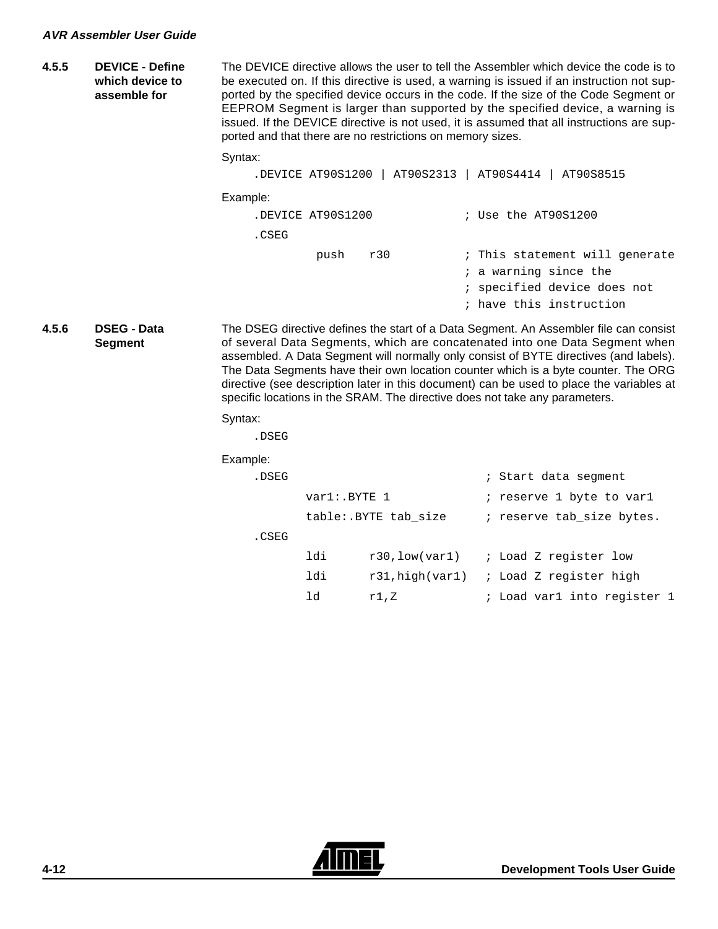```
4.5.5 DEVICE - Define 
        which device to 
        assemble for
```
The DEVICE directive allows the user to tell the Assembler which device the code is to be executed on. If this directive is used, a warning is issued if an instruction not supported by the specified device occurs in the code. If the size of the Code Segment or EEPROM Segment is larger than supported by the specified device, a warning is issued. If the DEVICE directive is not used, it is assumed that all instructions are supported and that there are no restrictions on memory sizes.

Syntax:

```
.DEVICE AT90S1200 | AT90S2313 | AT90S4414 | AT90S8515
Example:
    .DEVICE AT90S1200 ; Use the AT90S1200
    .CSEG
            push r30 ; This statement will generate
                                ; a warning since the 
                                ; specified device does not
                                ; have this instruction
```
**4.5.6 DSEG - Data Segment** The DSEG directive defines the start of a Data Segment. An Assembler file can consist of several Data Segments, which are concatenated into one Data Segment when assembled. A Data Segment will normally only consist of BYTE directives (and labels). The Data Segments have their own location counter which is a byte counter. The ORG directive (see description later in this document) can be used to place the variables at specific locations in the SRAM. The directive does not take any parameters.

Syntax:

.DSEG

| Example: |              |                       |                             |
|----------|--------------|-----------------------|-----------------------------|
| .DSEG    |              |                       | ; Start data segment        |
|          | varl: BYTE 1 |                       | ; reserve 1 byte to var1    |
|          |              | table: BYTE tab size  | ; reserve tab_size bytes.   |
| .CSEG    |              |                       |                             |
|          | ldi          | $r30$ ,low(var1)      | ; Load Z register low       |
|          | ldi          | $r31$ , high(var $1)$ | ; Load Z register high      |
|          | 1d           | r1,Z                  | ; Load varl into register 1 |
|          |              |                       |                             |

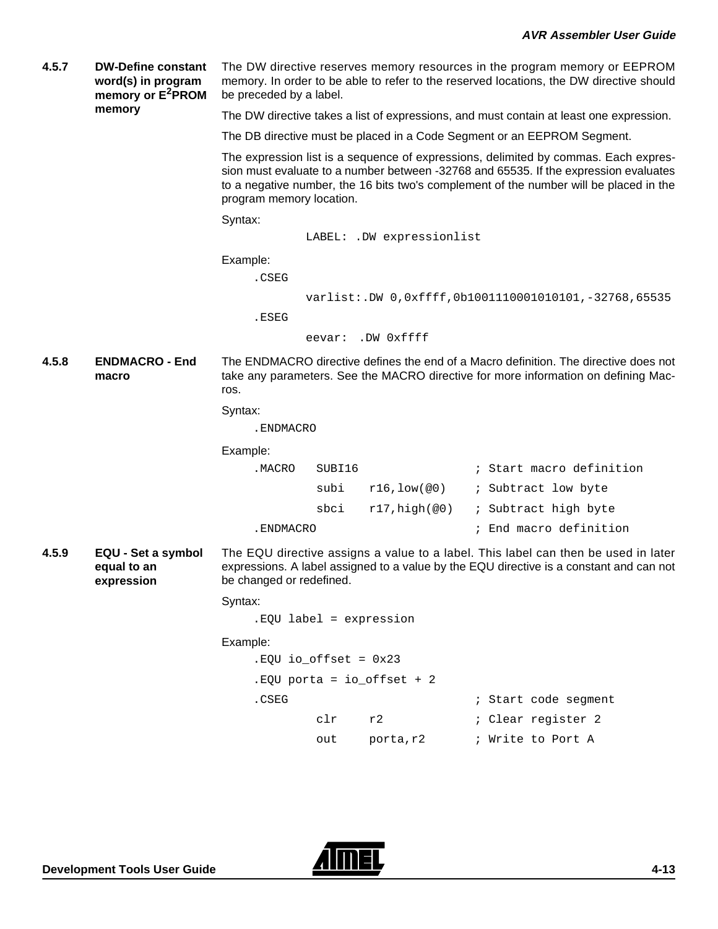# **4.5.7 DW-Define constant word(s) in program memory or E2PROM memory** The DW directive reserves memory resources in the program memory or EEPROM memory. In order to be able to refer to the reserved locations, the DW directive should be preceded by a label. The DW directive takes a list of expressions, and must contain at least one expression. The DB directive must be placed in a Code Segment or an EEPROM Segment. The expression list is a sequence of expressions, delimited by commas. Each expression must evaluate to a number between -32768 and 65535. If the expression evaluates to a negative number, the 16 bits two's complement of the number will be placed in the program memory location. Syntax: LABEL: .DW expressionlist Example: .CSEG varlist:.DW 0,0xffff,0b1001110001010101,-32768,65535 .ESEG eevar: .DW 0xffff **4.5.8 ENDMACRO - End macro** The ENDMACRO directive defines the end of a Macro definition. The directive does not take any parameters. See the MACRO directive for more information on defining Macros. Syntax: .ENDMACRO Example: .MACRO SUBI16 ; Start macro definition subi r16, low(@0) ; Subtract low byte sbci r17, high(@0) ; Subtract high byte .ENDMACRO ; End macro definition **4.5.9 EQU - Set a symbol equal to an expression** The EQU directive assigns a value to a label. This label can then be used in later expressions. A label assigned to a value by the EQU directive is a constant and can not be changed or redefined. Syntax: .EQU label = expression Example: .EQU io\_offset = 0x23 .EQU porta = io\_offset + 2 .CSEG in the sequent of the sequent is start code sequent. clr r2 ; Clear register 2 out porta,r2 ; Write to Port A

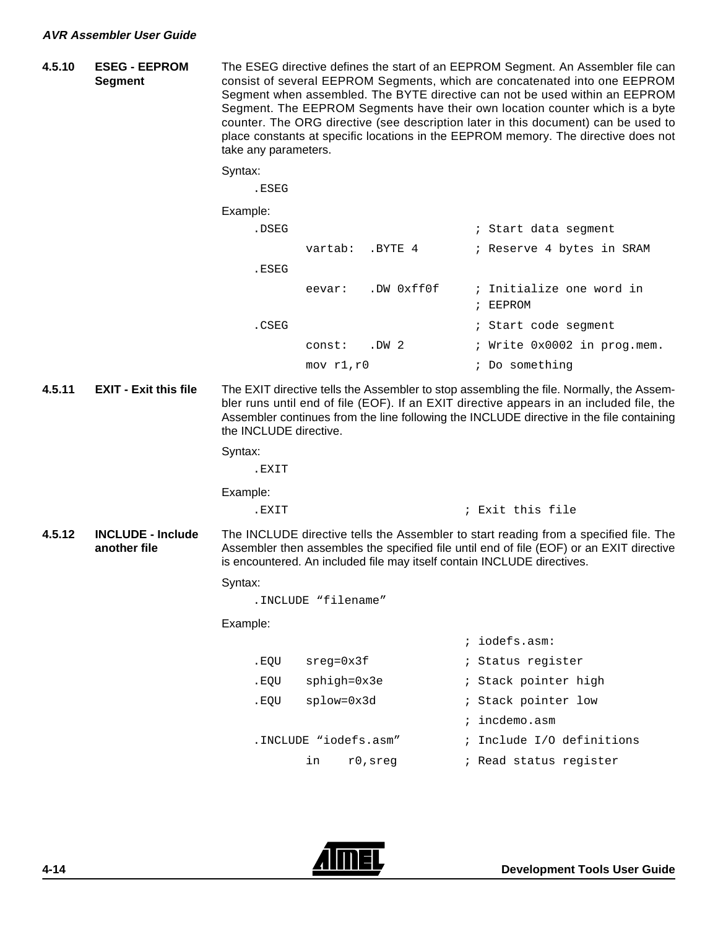```
4.5.10 ESEG - EEPROM 
       Segment
```
The ESEG directive defines the start of an EEPROM Segment. An Assembler file can consist of several EEPROM Segments, which are concatenated into one EEPROM Segment when assembled. The BYTE directive can not be used within an EEPROM Segment. The EEPROM Segments have their own location counter which is a byte counter. The ORG directive (see description later in this document) can be used to place constants at specific locations in the EEPROM memory. The directive does not take any parameters.

|        |                                          | Syntax:                |                       |            |                                                                                                                                                                                                                                                                                  |
|--------|------------------------------------------|------------------------|-----------------------|------------|----------------------------------------------------------------------------------------------------------------------------------------------------------------------------------------------------------------------------------------------------------------------------------|
|        |                                          | .ESEG                  |                       |            |                                                                                                                                                                                                                                                                                  |
|        |                                          | Example:               |                       |            |                                                                                                                                                                                                                                                                                  |
|        |                                          | .DSEG                  |                       |            | ; Start data segment                                                                                                                                                                                                                                                             |
|        |                                          |                        | vartab:               | .BYTE 4    | ; Reserve 4 bytes in SRAM                                                                                                                                                                                                                                                        |
|        |                                          | .ESEG                  |                       |            |                                                                                                                                                                                                                                                                                  |
|        |                                          |                        | eevar:                | .DW 0xff0f | ; Initialize one word in<br>; EEPROM                                                                                                                                                                                                                                             |
|        |                                          | .CSEG                  |                       |            | ; Start code segment                                                                                                                                                                                                                                                             |
|        |                                          |                        | const:                | .DW 2      | ; Write 0x0002 in prog.mem.                                                                                                                                                                                                                                                      |
|        |                                          |                        | mov r1, r0            |            | ; Do something                                                                                                                                                                                                                                                                   |
| 4.5.11 | <b>EXIT - Exit this file</b>             | the INCLUDE directive. |                       |            | The EXIT directive tells the Assembler to stop assembling the file. Normally, the Assem-<br>bler runs until end of file (EOF). If an EXIT directive appears in an included file, the<br>Assembler continues from the line following the INCLUDE directive in the file containing |
|        |                                          | Syntax:                |                       |            |                                                                                                                                                                                                                                                                                  |
|        |                                          | .EXIT                  |                       |            |                                                                                                                                                                                                                                                                                  |
|        |                                          | Example:               |                       |            |                                                                                                                                                                                                                                                                                  |
|        |                                          | .EXIT                  |                       |            | ; Exit this file                                                                                                                                                                                                                                                                 |
| 4.5.12 | <b>INCLUDE - Include</b><br>another file |                        |                       |            | The INCLUDE directive tells the Assembler to start reading from a specified file. The<br>Assembler then assembles the specified file until end of file (EOF) or an EXIT directive<br>is encountered. An included file may itself contain INCLUDE directives.                     |
|        |                                          | Syntax:                |                       |            |                                                                                                                                                                                                                                                                                  |
|        |                                          |                        | . INCLUDE "filename"  |            |                                                                                                                                                                                                                                                                                  |
|        |                                          | Example:               |                       |            |                                                                                                                                                                                                                                                                                  |
|        |                                          |                        |                       |            | $:$ iodefs.asm:                                                                                                                                                                                                                                                                  |
|        |                                          | .EQU                   | $sreq = 0x3f$         |            | ; Status register                                                                                                                                                                                                                                                                |
|        |                                          | .EQU                   | sphigh=0x3e           |            | ; Stack pointer high                                                                                                                                                                                                                                                             |
|        |                                          | .EQU                   | splow=0x3d            |            | ; Stack pointer low                                                                                                                                                                                                                                                              |
|        |                                          |                        |                       |            | ; incdemo.asm                                                                                                                                                                                                                                                                    |
|        |                                          |                        | .INCLUDE "iodefs.asm" |            | ; Include I/O definitions                                                                                                                                                                                                                                                        |
|        |                                          |                        | in                    | r0, sreg   | ; Read status register                                                                                                                                                                                                                                                           |

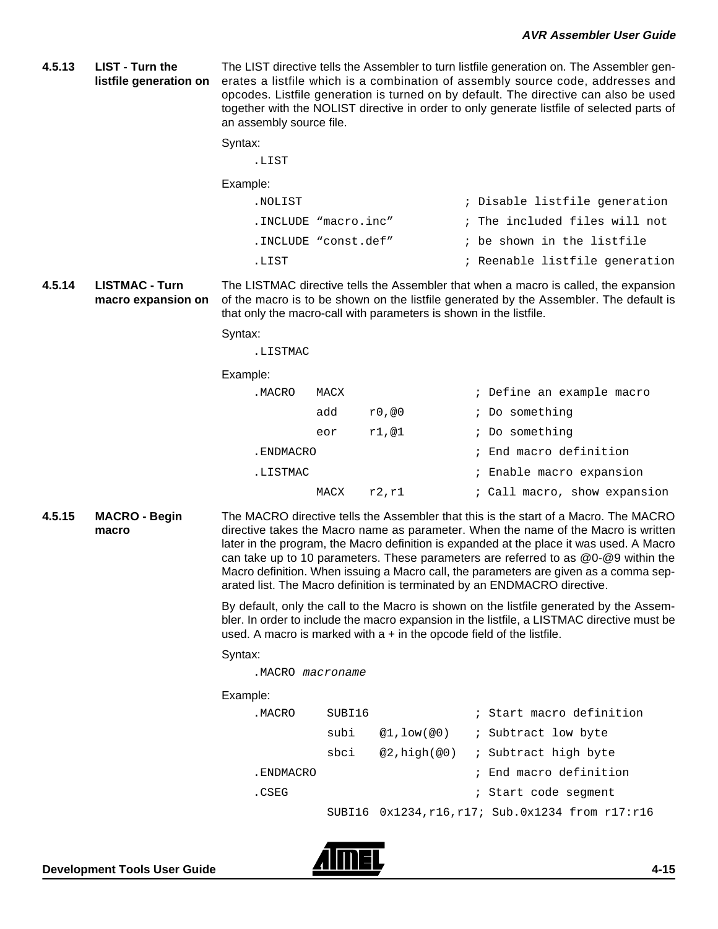**4.5.13 LIST - Turn the listfile generation on** The LIST directive tells the Assembler to turn listfile generation on. The Assembler generates a listfile which is a combination of assembly source code, addresses and opcodes. Listfile generation is turned on by default. The directive can also be used together with the NOLIST directive in order to only generate listfile of selected parts of an assembly source file.

Syntax:

.LIST

Example:

| .NOLIST              | : Disable listfile generation  |
|----------------------|--------------------------------|
| .INCLUDE "macro.inc" | ; The included files will not  |
| .INCLUDE "const.def" | ; be shown in the listfile     |
| .LIST                | ; Reenable listfile generation |

#### **4.5.14 LISTMAC - Turn macro expansion on** The LISTMAC directive tells the Assembler that when a macro is called, the expansion of the macro is to be shown on the listfile generated by the Assembler. The default is that only the macro-call with parameters is shown in the listfile.

Syntax:

.LISTMAC

Example:

| μιν.      |      |        |                              |
|-----------|------|--------|------------------------------|
| .MACRO    | MACX |        | ; Define an example macro    |
|           | add  | r0.@0  | ; Do something               |
|           | eor  | r1,@1  | ; Do something               |
| .ENDMACRO |      |        | ; End macro definition       |
| .LISTMAC  |      |        | ; Enable macro expansion     |
|           | MACX | r2, r1 | ; Call macro, show expansion |

**4.5.15 MACRO - Begin macro** The MACRO directive tells the Assembler that this is the start of a Macro. The MACRO directive takes the Macro name as parameter. When the name of the Macro is written later in the program, the Macro definition is expanded at the place it was used. A Macro can take up to 10 parameters. These parameters are referred to as @0-@9 within the Macro definition. When issuing a Macro call, the parameters are given as a comma separated list. The Macro definition is terminated by an ENDMACRO directive.

> By default, only the call to the Macro is shown on the listfile generated by the Assembler. In order to include the macro expansion in the listfile, a LISTMAC directive must be used. A macro is marked with  $a + in$  the opcode field of the listfile.

#### Syntax:

.MACRO macroname

#### Example:

| .MACRO    | SUBI16 |            | ; Start macro definition                         |
|-----------|--------|------------|--------------------------------------------------|
|           | subi   | @1,low(@0) | ; Subtract low byte                              |
|           | sbci   |            | $@2$ , high( $@0$ ) ; Subtract high byte         |
| .ENDMACRO |        |            | ; End macro definition                           |
| .CSEG     |        |            | ; Start code segment                             |
|           |        |            | SUBI16 0x1234, r16, r17; Sub.0x1234 from r17:r16 |

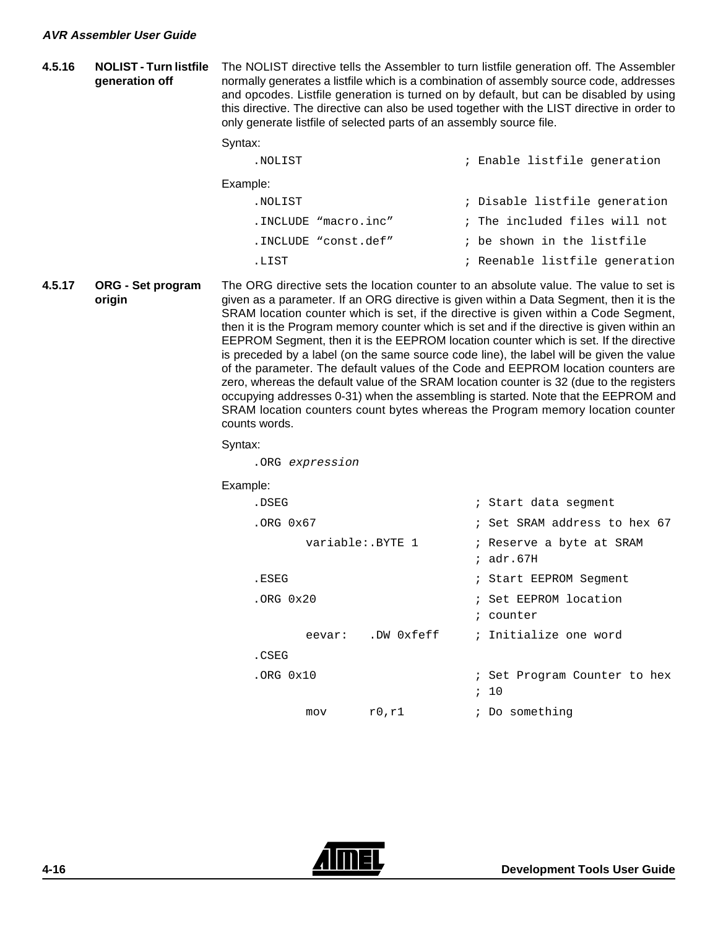## **4.5.16 NOLIST - Turn listfile generation off**

The NOLIST directive tells the Assembler to turn listfile generation off. The Assembler normally generates a listfile which is a combination of assembly source code, addresses and opcodes. Listfile generation is turned on by default, but can be disabled by using this directive. The directive can also be used together with the LIST directive in order to only generate listfile of selected parts of an assembly source file.

Syntax:

| .NOLIST               | ; Enable listfile generation   |
|-----------------------|--------------------------------|
| Example:              |                                |
| NOLIST.               | : Disable listfile generation  |
| . INCLUDE "macro.inc" | ; The included files will not  |
| .INCLUDE "const.def"  | ; be shown in the listfile     |
| .LIST                 | ; Reenable listfile generation |

#### **4.5.17 ORG - Set program origin** The ORG directive sets the location counter to an absolute value. The value to set is given as a parameter. If an ORG directive is given within a Data Segment, then it is the SRAM location counter which is set, if the directive is given within a Code Segment, then it is the Program memory counter which is set and if the directive is given within an EEPROM Segment, then it is the EEPROM location counter which is set. If the directive is preceded by a label (on the same source code line), the label will be given the value of the parameter. The default values of the Code and EEPROM location counters are zero, whereas the default value of the SRAM location counter is 32 (due to the registers occupying addresses 0-31) when the assembling is started. Note that the EEPROM and SRAM location counters count bytes whereas the Program memory location counter

Syntax:

counts words.

.ORG expression

#### Example:

| .DSEG          | ; Start data segment<br>; Set SRAM address to hex 67<br>variable: BYTE 1<br>; Reserve a byte at SRAM<br>$;$ adr. $67H$<br>; Start EEPROM Segment<br>; Set EEPROM location<br>; counter<br>; Initialize one word<br>eevar: .DW Oxfeff |  |  |  |  |  |
|----------------|--------------------------------------------------------------------------------------------------------------------------------------------------------------------------------------------------------------------------------------|--|--|--|--|--|
| $.$ ORG $0x67$ |                                                                                                                                                                                                                                      |  |  |  |  |  |
|                |                                                                                                                                                                                                                                      |  |  |  |  |  |
| .ESEG          |                                                                                                                                                                                                                                      |  |  |  |  |  |
| $.0RG$ $0x20$  |                                                                                                                                                                                                                                      |  |  |  |  |  |
|                |                                                                                                                                                                                                                                      |  |  |  |  |  |
| .CSEG          |                                                                                                                                                                                                                                      |  |  |  |  |  |
| $.$ ORG $0x10$ | ; Set Program Counter to hex                                                                                                                                                                                                         |  |  |  |  |  |
|                | ; 10                                                                                                                                                                                                                                 |  |  |  |  |  |
| r0, r1<br>mov  | ; Do something                                                                                                                                                                                                                       |  |  |  |  |  |

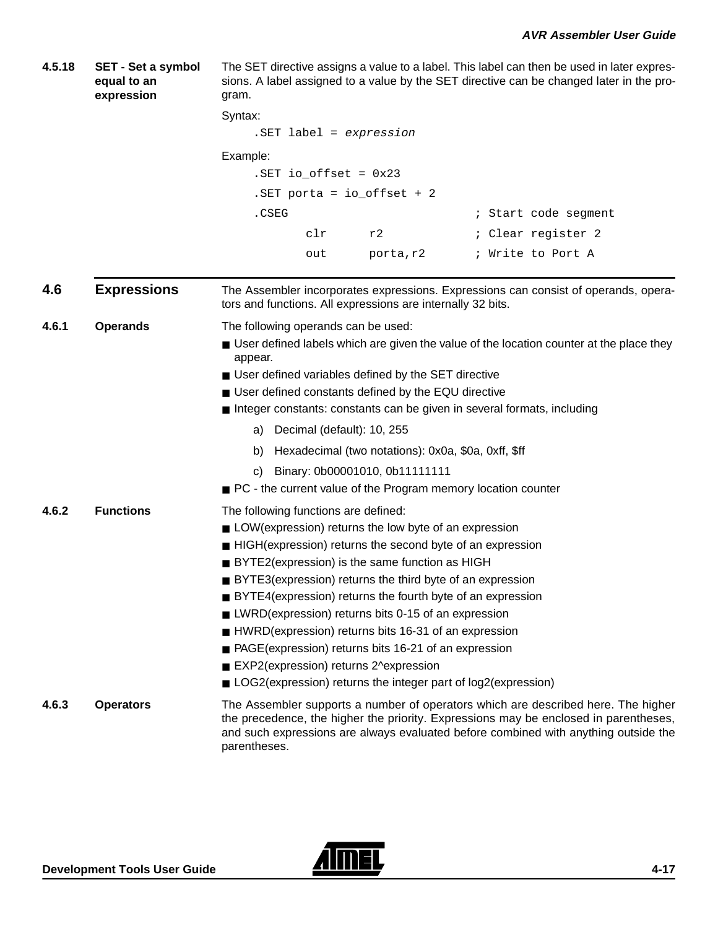#### **4.5.18 SET - Set a symbol equal to an expression**

The SET directive assigns a value to a label. This label can then be used in later expressions. A label assigned to a value by the SET directive can be changed later in the program.

Syntax:

.SET label = expression

Example:

```
.SET io_offset = 0x23
.SET porta = io_offset + 2
.CSEG in the sequent of the sequent is start code sequent
      clr r2 : Clear register 2
      out porta,r2 ; Write to Port A
```
**4.6 Expressions** The Assembler incorporates expressions. Expressions can consist of operands, operators and functions. All expressions are internally 32 bits. **4.6.1 Operands** The following operands can be used: ■ User defined labels which are given the value of the location counter at the place they appear. ■ User defined variables defined by the SET directive ■ User defined constants defined by the EQU directive ■ Integer constants: constants can be given in several formats, including a) Decimal (default): 10, 255 b) Hexadecimal (two notations): 0x0a, \$0a, 0xff, \$ff c) Binary: 0b00001010, 0b11111111 ■ PC - the current value of the Program memory location counter **4.6.2 Functions** The following functions are defined: ■ LOW(expression) returns the low byte of an expression ■ HIGH(expression) returns the second byte of an expression ■ BYTE2(expression) is the same function as HIGH ■ BYTE3(expression) returns the third byte of an expression ■ BYTE4(expression) returns the fourth byte of an expression ■ LWRD(expression) returns bits 0-15 of an expression ■ HWRD(expression) returns bits 16-31 of an expression ■ PAGE(expression) returns bits 16-21 of an expression ■ EXP2(expression) returns 2^expression ■ LOG2(expression) returns the integer part of log2(expression) **4.6.3 Operators** The Assembler supports a number of operators which are described here. The higher the precedence, the higher the priority. Expressions may be enclosed in parentheses, and such expressions are always evaluated before combined with anything outside the parentheses.

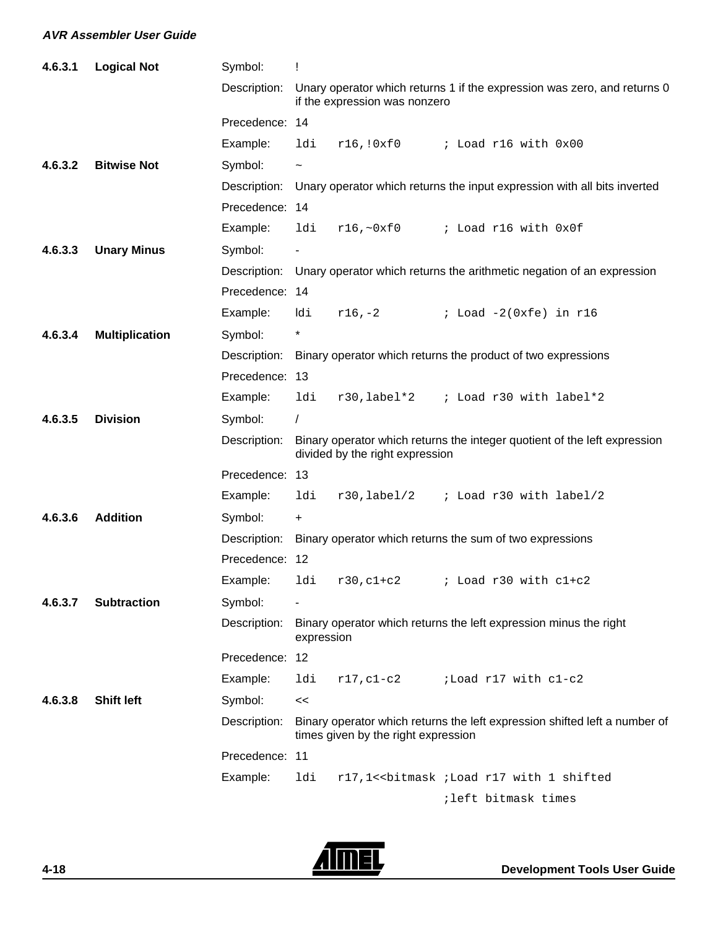| 4.6.3.1 | <b>Logical Not</b>    | Symbol:        | Ţ                                                                                                                 |  |  |  |  |  |
|---------|-----------------------|----------------|-------------------------------------------------------------------------------------------------------------------|--|--|--|--|--|
|         |                       | Description:   | Unary operator which returns 1 if the expression was zero, and returns 0<br>if the expression was nonzero         |  |  |  |  |  |
|         |                       | Precedence: 14 |                                                                                                                   |  |  |  |  |  |
|         |                       | Example:       | ldi<br>r16, !0xf0<br>; Load r16 with 0x00                                                                         |  |  |  |  |  |
| 4.6.3.2 | <b>Bitwise Not</b>    | Symbol:        | $\widetilde{\phantom{m}}$                                                                                         |  |  |  |  |  |
|         |                       | Description:   | Unary operator which returns the input expression with all bits inverted                                          |  |  |  |  |  |
|         |                       | Precedence: 14 |                                                                                                                   |  |  |  |  |  |
|         |                       | Example:       | ldi<br>$r16, -0xf0$<br>; Load r16 with 0x0f                                                                       |  |  |  |  |  |
| 4.6.3.3 | <b>Unary Minus</b>    | Symbol:        |                                                                                                                   |  |  |  |  |  |
|         |                       | Description:   | Unary operator which returns the arithmetic negation of an expression                                             |  |  |  |  |  |
|         |                       | Precedence: 14 |                                                                                                                   |  |  |  |  |  |
|         |                       | Example:       | ldi<br>$r16, -2$<br>$:$ Load $-2(0xfe)$ in r16                                                                    |  |  |  |  |  |
| 4.6.3.4 | <b>Multiplication</b> | Symbol:        | $\star$                                                                                                           |  |  |  |  |  |
|         |                       | Description:   | Binary operator which returns the product of two expressions                                                      |  |  |  |  |  |
|         |                       | Precedence: 13 |                                                                                                                   |  |  |  |  |  |
|         |                       | Example:       | ldi<br>r30,label*2<br>; Load r30 with label*2                                                                     |  |  |  |  |  |
| 4.6.3.5 | <b>Division</b>       | Symbol:        | $\prime$                                                                                                          |  |  |  |  |  |
|         |                       | Description:   | Binary operator which returns the integer quotient of the left expression<br>divided by the right expression      |  |  |  |  |  |
|         |                       | Precedence: 13 |                                                                                                                   |  |  |  |  |  |
|         |                       | Example:       | ldi<br>$r30$ , label/2<br>; Load r30 with label/2                                                                 |  |  |  |  |  |
| 4.6.3.6 | <b>Addition</b>       | Symbol:        | $\ddot{}$                                                                                                         |  |  |  |  |  |
|         |                       | Description:   | Binary operator which returns the sum of two expressions                                                          |  |  |  |  |  |
|         |                       | Precedence: 12 |                                                                                                                   |  |  |  |  |  |
|         |                       | Example:       | $r30, c1+c2$<br>; Load r30 with c1+c2<br>ldi                                                                      |  |  |  |  |  |
| 4.6.3.7 | <b>Subtraction</b>    | Symbol:        |                                                                                                                   |  |  |  |  |  |
|         |                       | Description:   | Binary operator which returns the left expression minus the right<br>expression                                   |  |  |  |  |  |
|         |                       | Precedence: 12 |                                                                                                                   |  |  |  |  |  |
|         |                       | Example:       | ldi<br>$r17, c1-c2$<br>;Load r17 with c1-c2                                                                       |  |  |  |  |  |
| 4.6.3.8 | <b>Shift left</b>     | Symbol:        | <<                                                                                                                |  |  |  |  |  |
|         |                       | Description:   | Binary operator which returns the left expression shifted left a number of<br>times given by the right expression |  |  |  |  |  |
|         |                       | Precedence: 11 |                                                                                                                   |  |  |  |  |  |
|         |                       | Example:       | ldi<br>r17,1<<br>bitmask ;Load r17 with 1 shifted                                                                 |  |  |  |  |  |
|         |                       |                | ; left bitmask times                                                                                              |  |  |  |  |  |

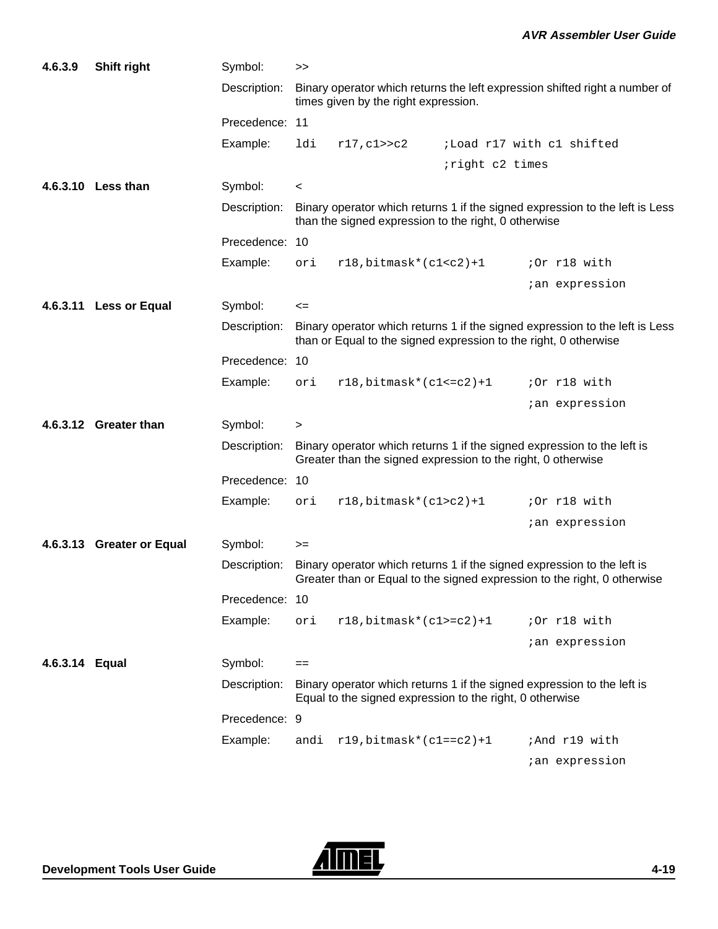| 4.6.3.9        | Shift right               | Symbol:                                                                                                                                 | >>                                                                                                                                                  |  |
|----------------|---------------------------|-----------------------------------------------------------------------------------------------------------------------------------------|-----------------------------------------------------------------------------------------------------------------------------------------------------|--|
|                |                           | Description:                                                                                                                            | Binary operator which returns the left expression shifted right a number of<br>times given by the right expression.                                 |  |
|                |                           | Precedence: 11                                                                                                                          |                                                                                                                                                     |  |
|                |                           | Example:                                                                                                                                | ldi<br>r17, c1 >> c2<br>;Load r17 with c1 shifted                                                                                                   |  |
|                |                           |                                                                                                                                         | iright c2 times                                                                                                                                     |  |
|                | 4.6.3.10 Less than        | Symbol:                                                                                                                                 | $\,<$                                                                                                                                               |  |
|                |                           | Description:                                                                                                                            | Binary operator which returns 1 if the signed expression to the left is Less<br>than the signed expression to the right, 0 otherwise                |  |
|                |                           | Precedence: 10                                                                                                                          |                                                                                                                                                     |  |
|                |                           | Example:                                                                                                                                | $r18$ , bitmask* $(c1 < c2) + 1$<br>:Or r18 with<br>ori                                                                                             |  |
|                |                           |                                                                                                                                         | <i>i</i> an expression                                                                                                                              |  |
|                | 4.6.3.11 Less or Equal    | Symbol:                                                                                                                                 | $\leq$                                                                                                                                              |  |
|                |                           | Description:                                                                                                                            | Binary operator which returns 1 if the signed expression to the left is Less<br>than or Equal to the signed expression to the right, 0 otherwise    |  |
|                |                           | Precedence: 10                                                                                                                          |                                                                                                                                                     |  |
|                |                           | Example:                                                                                                                                | $r18$ , bitmask* $(c1<=c2)+1$<br>:Or r18 with<br>ori                                                                                                |  |
|                |                           |                                                                                                                                         | <i>i</i> an expression                                                                                                                              |  |
|                | 4.6.3.12 Greater than     | Symbol:                                                                                                                                 | $\, >$                                                                                                                                              |  |
|                | Description:              | Binary operator which returns 1 if the signed expression to the left is<br>Greater than the signed expression to the right, 0 otherwise |                                                                                                                                                     |  |
|                |                           | Precedence: 10                                                                                                                          |                                                                                                                                                     |  |
|                |                           | Example:                                                                                                                                | $r18$ , bitmask* $(c1>c2)+1$<br>:Or r18 with<br>ori                                                                                                 |  |
|                |                           |                                                                                                                                         | <i>i</i> an expression                                                                                                                              |  |
|                | 4.6.3.13 Greater or Equal | Symbol:                                                                                                                                 | $>=$                                                                                                                                                |  |
|                |                           | Description:                                                                                                                            | Binary operator which returns 1 if the signed expression to the left is<br>Greater than or Equal to the signed expression to the right, 0 otherwise |  |
|                |                           | Precedence: 10                                                                                                                          |                                                                                                                                                     |  |
|                |                           | Example:                                                                                                                                | $r18$ , bitmask*(c1>=c2)+1<br>:Or r18 with<br>ori                                                                                                   |  |
|                |                           |                                                                                                                                         | ;an expression                                                                                                                                      |  |
| 4.6.3.14 Equal |                           | Symbol:                                                                                                                                 | $==$                                                                                                                                                |  |
|                |                           | Description:                                                                                                                            | Binary operator which returns 1 if the signed expression to the left is<br>Equal to the signed expression to the right, 0 otherwise                 |  |
|                |                           | Precedence: 9                                                                                                                           |                                                                                                                                                     |  |
|                |                           | Example:                                                                                                                                | andi<br>$r19$ , bitmask* (c1==c2)+1<br>; And r19 with                                                                                               |  |
|                |                           |                                                                                                                                         | <i>i</i> an expression                                                                                                                              |  |

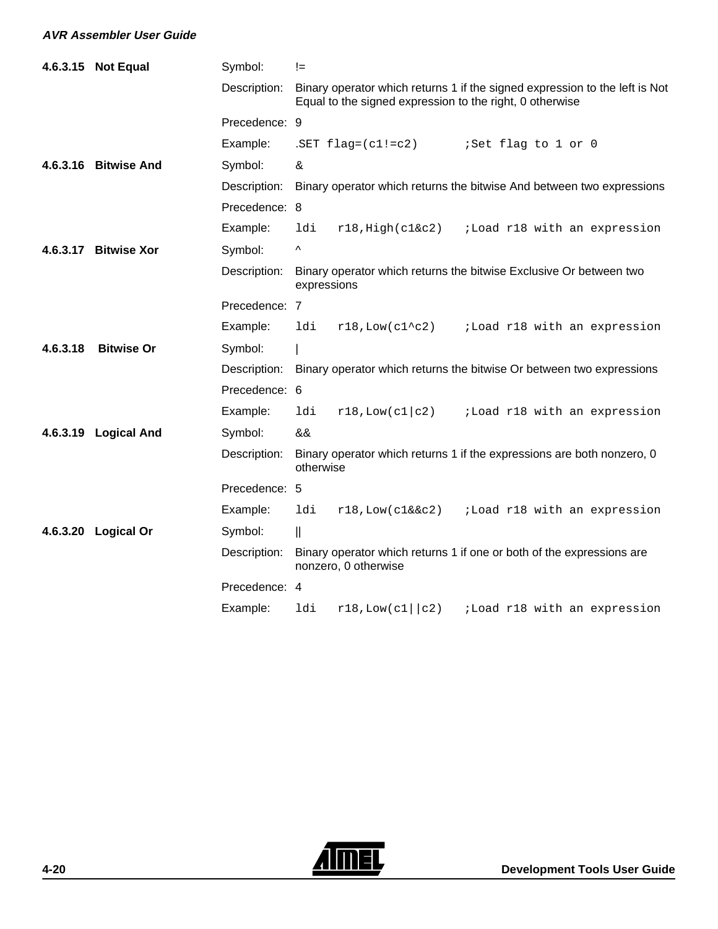|          | 4.6.3.15 Not Equal   | Symbol:                                                                           | $!=$        |                                                          |                                                                             |  |  |
|----------|----------------------|-----------------------------------------------------------------------------------|-------------|----------------------------------------------------------|-----------------------------------------------------------------------------|--|--|
|          |                      | Description:                                                                      |             | Equal to the signed expression to the right, 0 otherwise | Binary operator which returns 1 if the signed expression to the left is Not |  |  |
|          |                      | Precedence: 9                                                                     |             |                                                          |                                                                             |  |  |
|          |                      | Example:                                                                          |             | $SET \text{flag} = (c1! = c2)$                           | ;Set flag to 1 or 0                                                         |  |  |
|          | 4.6.3.16 Bitwise And | Symbol:                                                                           | &           |                                                          |                                                                             |  |  |
|          |                      | Description:                                                                      |             |                                                          | Binary operator which returns the bitwise And between two expressions       |  |  |
|          |                      | Precedence: 8                                                                     |             |                                                          |                                                                             |  |  |
|          |                      | Example:                                                                          | ldi         | $r18$ , High $(c1&c2)$                                   | ;Load r18 with an expression                                                |  |  |
|          | 4.6.3.17 Bitwise Xor | Symbol:                                                                           | Λ           |                                                          |                                                                             |  |  |
|          | Description:         | Binary operator which returns the bitwise Exclusive Or between two<br>expressions |             |                                                          |                                                                             |  |  |
|          |                      | Precedence: 7                                                                     |             |                                                          |                                                                             |  |  |
|          |                      | Example:                                                                          | ldi         | $r18,$ Low( $c1$ <sup><math>\sim</math></sup> c2)        | ;Load r18 with an expression                                                |  |  |
| 4.6.3.18 | <b>Bitwise Or</b>    | Symbol:                                                                           |             |                                                          |                                                                             |  |  |
|          |                      | Description:                                                                      |             |                                                          | Binary operator which returns the bitwise Or between two expressions        |  |  |
|          |                      | Precedence: 6                                                                     |             |                                                          |                                                                             |  |  |
|          |                      | Example:                                                                          | ldi         | $r18,$ Low(c $1 c2)$                                     | ;Load r18 with an expression                                                |  |  |
|          | 4.6.3.19 Logical And | Symbol:                                                                           | &&          |                                                          |                                                                             |  |  |
|          |                      | Description:                                                                      | otherwise   |                                                          | Binary operator which returns 1 if the expressions are both nonzero, 0      |  |  |
|          |                      | Precedence: 5                                                                     |             |                                                          |                                                                             |  |  |
|          |                      | Example:                                                                          | ldi         | $r18,$ Low(c $1&c2)$                                     | ;Load r18 with an expression                                                |  |  |
|          | 4.6.3.20 Logical Or  | Symbol:                                                                           | $\parallel$ |                                                          |                                                                             |  |  |
|          |                      | Description:                                                                      |             | nonzero, 0 otherwise                                     | Binary operator which returns 1 if one or both of the expressions are       |  |  |
|          |                      | Precedence: 4                                                                     |             |                                                          |                                                                             |  |  |
|          |                      | Example:                                                                          | ldi         | $r18,$ Low(c $1  c2)$                                    | ;Load r18 with an expression                                                |  |  |

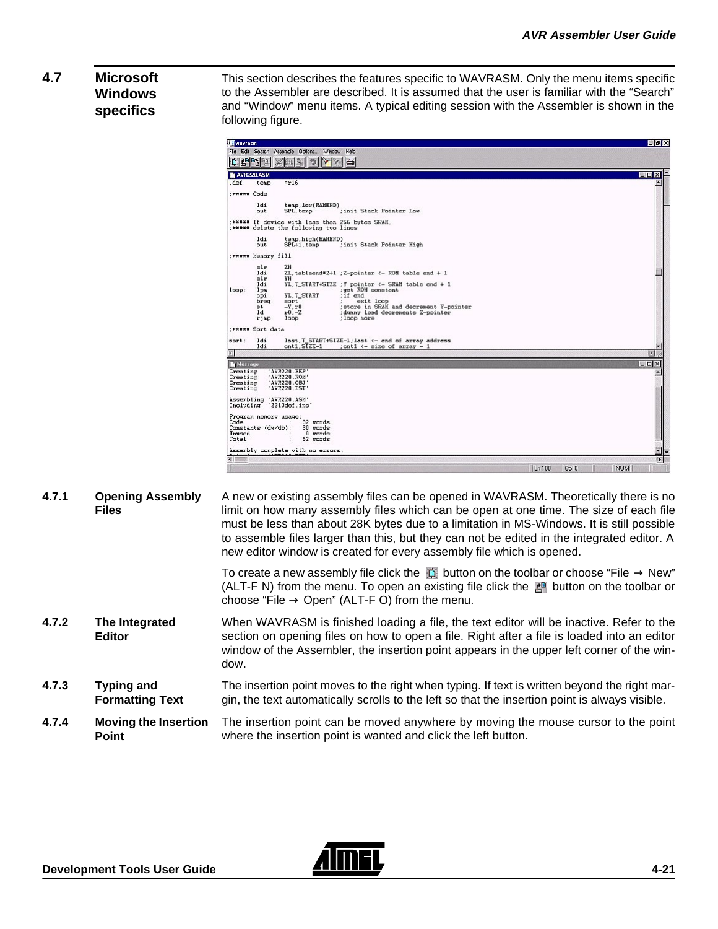# **4.7 Microsoft Windows specifics**

This section describes the features specific to WAVRASM. Only the menu items specific to the Assembler are described. It is assumed that the user is familiar with the "Search" and "Window" menu items. A typical editing session with the Assembler is shown in the following figure.

| <b>UH</b> wayrasm    |                                                                                                                                                                                                                                                                                                                                                                                                                                                                                                                                                                                                                                                                                                                                                                                                                                                                                                                                                                             |                      |                                                |              |                           | $ F$ $\times$                                       |
|----------------------|-----------------------------------------------------------------------------------------------------------------------------------------------------------------------------------------------------------------------------------------------------------------------------------------------------------------------------------------------------------------------------------------------------------------------------------------------------------------------------------------------------------------------------------------------------------------------------------------------------------------------------------------------------------------------------------------------------------------------------------------------------------------------------------------------------------------------------------------------------------------------------------------------------------------------------------------------------------------------------|----------------------|------------------------------------------------|--------------|---------------------------|-----------------------------------------------------|
|                      |                                                                                                                                                                                                                                                                                                                                                                                                                                                                                                                                                                                                                                                                                                                                                                                                                                                                                                                                                                             | $ \mathfrak{S}_{L} $ |                                                |              |                           |                                                     |
|                      |                                                                                                                                                                                                                                                                                                                                                                                                                                                                                                                                                                                                                                                                                                                                                                                                                                                                                                                                                                             |                      |                                                |              |                           |                                                     |
| def.                 |                                                                                                                                                                                                                                                                                                                                                                                                                                                                                                                                                                                                                                                                                                                                                                                                                                                                                                                                                                             | $=$ r16              |                                                |              |                           |                                                     |
|                      |                                                                                                                                                                                                                                                                                                                                                                                                                                                                                                                                                                                                                                                                                                                                                                                                                                                                                                                                                                             |                      |                                                |              |                           |                                                     |
|                      |                                                                                                                                                                                                                                                                                                                                                                                                                                                                                                                                                                                                                                                                                                                                                                                                                                                                                                                                                                             |                      |                                                |              |                           |                                                     |
|                      | put.                                                                                                                                                                                                                                                                                                                                                                                                                                                                                                                                                                                                                                                                                                                                                                                                                                                                                                                                                                        | SPL, tenp            | :init Stack Pointer Low                        |              |                           |                                                     |
|                      |                                                                                                                                                                                                                                                                                                                                                                                                                                                                                                                                                                                                                                                                                                                                                                                                                                                                                                                                                                             |                      |                                                |              |                           |                                                     |
|                      | ldi<br>out.                                                                                                                                                                                                                                                                                                                                                                                                                                                                                                                                                                                                                                                                                                                                                                                                                                                                                                                                                                 | $SPL+1$ , tenp       |                                                |              |                           |                                                     |
|                      |                                                                                                                                                                                                                                                                                                                                                                                                                                                                                                                                                                                                                                                                                                                                                                                                                                                                                                                                                                             |                      |                                                |              |                           |                                                     |
|                      | olr<br>ldi<br>cir                                                                                                                                                                                                                                                                                                                                                                                                                                                                                                                                                                                                                                                                                                                                                                                                                                                                                                                                                           | ZH<br>YH             |                                                |              |                           |                                                     |
| loop:                | 1pm<br>cpi                                                                                                                                                                                                                                                                                                                                                                                                                                                                                                                                                                                                                                                                                                                                                                                                                                                                                                                                                                  | YL.T_START           | :get ROM constant<br>:if end                   |              |                           |                                                     |
|                      | st.<br>1d<br>rino                                                                                                                                                                                                                                                                                                                                                                                                                                                                                                                                                                                                                                                                                                                                                                                                                                                                                                                                                           | $x0, -Z$<br>loop     | :dumny load decrements Z-pointer<br>:loop nore |              |                           |                                                     |
|                      |                                                                                                                                                                                                                                                                                                                                                                                                                                                                                                                                                                                                                                                                                                                                                                                                                                                                                                                                                                             |                      |                                                |              |                           |                                                     |
| sort:                | ldi<br>1di                                                                                                                                                                                                                                                                                                                                                                                                                                                                                                                                                                                                                                                                                                                                                                                                                                                                                                                                                                  | $cnt1.$ $STZE-1$     |                                                |              |                           |                                                     |
|                      |                                                                                                                                                                                                                                                                                                                                                                                                                                                                                                                                                                                                                                                                                                                                                                                                                                                                                                                                                                             |                      |                                                |              | E                         |                                                     |
| Message              |                                                                                                                                                                                                                                                                                                                                                                                                                                                                                                                                                                                                                                                                                                                                                                                                                                                                                                                                                                             |                      |                                                |              | $  \times$                |                                                     |
| Creating             |                                                                                                                                                                                                                                                                                                                                                                                                                                                                                                                                                                                                                                                                                                                                                                                                                                                                                                                                                                             |                      |                                                |              |                           | A                                                   |
| Creating<br>Creating |                                                                                                                                                                                                                                                                                                                                                                                                                                                                                                                                                                                                                                                                                                                                                                                                                                                                                                                                                                             |                      |                                                |              |                           |                                                     |
|                      |                                                                                                                                                                                                                                                                                                                                                                                                                                                                                                                                                                                                                                                                                                                                                                                                                                                                                                                                                                             |                      |                                                |              |                           |                                                     |
|                      | File Edit Search Assemble Options Window Help<br>医四路盘<br>a<br>b<br>$\mathbb{Q}_p$<br>日相<br>$\mathbb{R}$<br>$\Box$ $\Box$ $\times$<br>AVR220.ASM<br>temp<br>: ***** Code<br>1di<br>temp, low(RAMEND)<br>: ***** If device with less than 256 bytes SRAM.<br>:***** delete the following tvo lines<br>temp.high(RAMEND)<br>init Stack Pointer High<br><b>TREER Henory fill</b><br>ZI, tableend*2+1 ; Z-pointer <- ROM table end + 1<br>ldi<br>YL.T_START+SIZE :Y pointer <- SRAM table end + 1<br>exit loop<br>perd<br>sort<br>$-Y.T0$<br>:store in SRAM and decrement Y-pointer<br>: ***** Sort data<br>last, T START+SIZE-1; last <- end of array address<br>; cntl $\leftarrow$ size of array - 1<br>Creating<br>' AVR220. EEP'<br>'AVR220.ROM'<br>'AVR220.OBJ'<br>'AVR220.LST'<br>Assembling 'AVR220.ASM'<br>Including '2313def.inc'<br>Program memory usage:<br>32 words<br>Constants (dw/db):<br>30 words<br>0 words<br>$62$ vords<br>Assembly complete vith no errors. |                      |                                                |              |                           |                                                     |
| Cade                 |                                                                                                                                                                                                                                                                                                                                                                                                                                                                                                                                                                                                                                                                                                                                                                                                                                                                                                                                                                             |                      |                                                |              |                           |                                                     |
| Unused<br>Total      |                                                                                                                                                                                                                                                                                                                                                                                                                                                                                                                                                                                                                                                                                                                                                                                                                                                                                                                                                                             |                      |                                                |              |                           |                                                     |
|                      |                                                                                                                                                                                                                                                                                                                                                                                                                                                                                                                                                                                                                                                                                                                                                                                                                                                                                                                                                                             |                      |                                                |              |                           | $\overline{\mathbf{x}}$<br>$\overline{\phantom{a}}$ |
| Π                    |                                                                                                                                                                                                                                                                                                                                                                                                                                                                                                                                                                                                                                                                                                                                                                                                                                                                                                                                                                             |                      |                                                |              |                           |                                                     |
|                      |                                                                                                                                                                                                                                                                                                                                                                                                                                                                                                                                                                                                                                                                                                                                                                                                                                                                                                                                                                             |                      |                                                | $\sqrt{108}$ | $\bigcap$ 8<br><b>NUM</b> |                                                     |

**4.7.1 Opening Assembly Files** A new or existing assembly files can be opened in WAVRASM. Theoretically there is no limit on how many assembly files which can be open at one time. The size of each file must be less than about 28K bytes due to a limitation in MS-Windows. It is still possible to assemble files larger than this, but they can not be edited in the integrated editor. A new editor window is created for every assembly file which is opened.

To create a new assembly file click the  $\mathbb{D}$  button on the toolbar or choose "File  $\rightarrow$  New" (ALT-F N) from the menu. To open an existing file click the  $\mathbb{B}^n$  button on the toolbar or choose "File  $\rightarrow$  Open" (ALT-F O) from the menu.

- **4.7.2 The Integrated Editor** When WAVRASM is finished loading a file, the text editor will be inactive. Refer to the section on opening files on how to open a file. Right after a file is loaded into an editor window of the Assembler, the insertion point appears in the upper left corner of the window.
- **4.7.3 Typing and Formatting Text** The insertion point moves to the right when typing. If text is written beyond the right margin, the text automatically scrolls to the left so that the insertion point is always visible.
- **4.7.4 Moving the Insertion Point** The insertion point can be moved anywhere by moving the mouse cursor to the point where the insertion point is wanted and click the left button.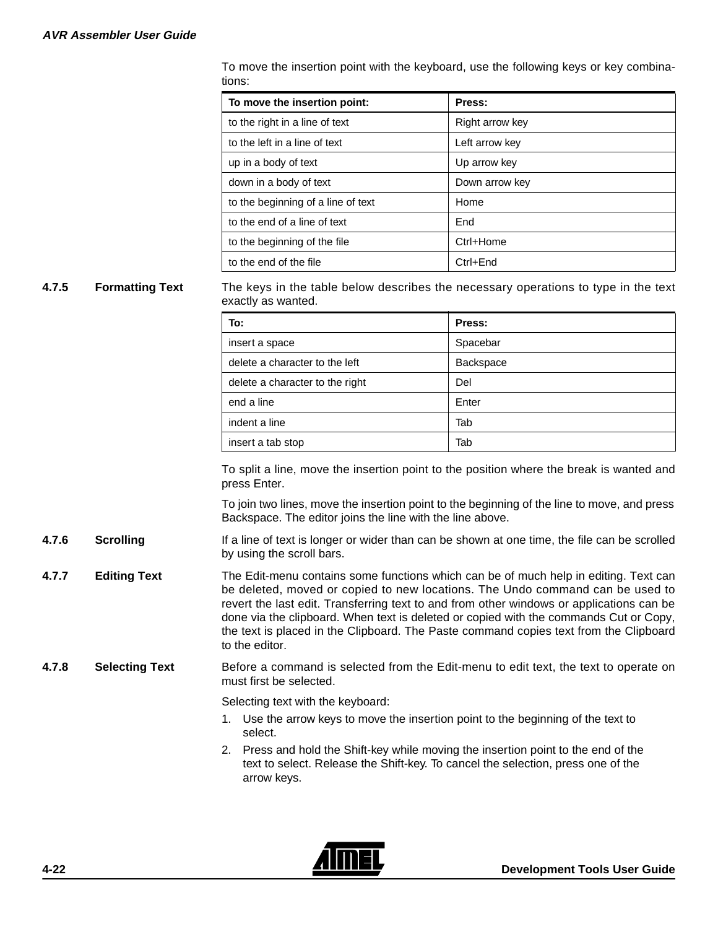To move the insertion point with the keyboard, use the following keys or key combinations:

| To move the insertion point:       | Press:          |  |  |  |
|------------------------------------|-----------------|--|--|--|
| to the right in a line of text     | Right arrow key |  |  |  |
| to the left in a line of text      | Left arrow key  |  |  |  |
| up in a body of text               | Up arrow key    |  |  |  |
| down in a body of text             | Down arrow key  |  |  |  |
| to the beginning of a line of text | Home            |  |  |  |
| to the end of a line of text       | End             |  |  |  |
| to the beginning of the file       | Ctrl+Home       |  |  |  |
| to the end of the file             | Ctrl+End        |  |  |  |

**4.7.5 Formatting Text** The keys in the table below describes the necessary operations to type in the text exactly as wanted.

| To:                             | Press:    |  |  |  |
|---------------------------------|-----------|--|--|--|
| insert a space                  | Spacebar  |  |  |  |
| delete a character to the left  | Backspace |  |  |  |
| delete a character to the right | Del       |  |  |  |
| end a line                      | Enter     |  |  |  |
| indent a line                   | Tab       |  |  |  |
| insert a tab stop               | Tab       |  |  |  |

To split a line, move the insertion point to the position where the break is wanted and press Enter.

To join two lines, move the insertion point to the beginning of the line to move, and press Backspace. The editor joins the line with the line above.

- **4.7.6 Scrolling** If a line of text is longer or wider than can be shown at one time, the file can be scrolled by using the scroll bars.
- **4.7.7 Editing Text** The Edit-menu contains some functions which can be of much help in editing. Text can be deleted, moved or copied to new locations. The Undo command can be used to revert the last edit. Transferring text to and from other windows or applications can be done via the clipboard. When text is deleted or copied with the commands Cut or Copy, the text is placed in the Clipboard. The Paste command copies text from the Clipboard to the editor.
- **4.7.8 Selecting Text** Before a command is selected from the Edit-menu to edit text, the text to operate on must first be selected.

Selecting text with the keyboard:

- 1. Use the arrow keys to move the insertion point to the beginning of the text to select.
- 2. Press and hold the Shift-key while moving the insertion point to the end of the text to select. Release the Shift-key. To cancel the selection, press one of the arrow keys.

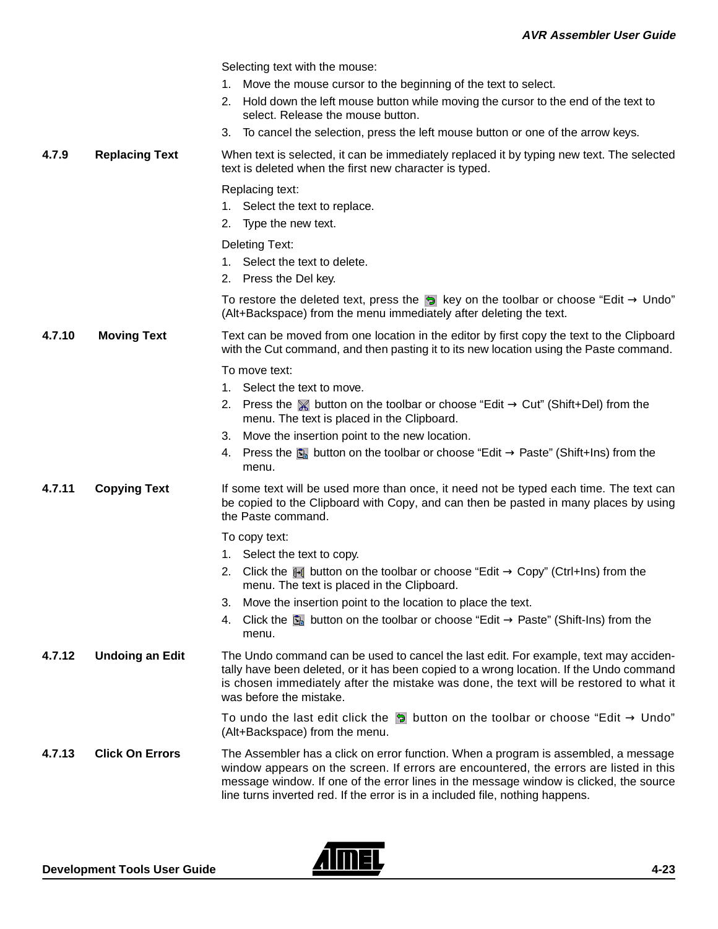Selecting text with the mouse:

- 1. Move the mouse cursor to the beginning of the text to select.
- 2. Hold down the left mouse button while moving the cursor to the end of the text to select. Release the mouse button.
- 3. To cancel the selection, press the left mouse button or one of the arrow keys.
- **4.7.9 Replacing Text** When text is selected, it can be immediately replaced it by typing new text. The selected text is deleted when the first new character is typed.

Replacing text:

- 1. Select the text to replace.
- 2. Type the new text.

### Deleting Text:

- 1. Select the text to delete.
- 2. Press the Del key.

To restore the deleted text, press the  $\ddot{\theta}$  key on the toolbar or choose "Edit  $\rightarrow$  Undo" (Alt+Backspace) from the menu immediately after deleting the text.

**4.7.10 Moving Text** Text can be moved from one location in the editor by first copy the text to the Clipboard with the Cut command, and then pasting it to its new location using the Paste command.

To move text:

- 1. Select the text to move.
- 2. Press the  $\mathbb X$  button on the toolbar or choose "Edit  $\rightarrow$  Cut" (Shift+Del) from the menu. The text is placed in the Clipboard.
- 3. Move the insertion point to the new location.
- 4. Press the  $\bar{b}$  button on the toolbar or choose "Edit  $\rightarrow$  Paste" (Shift+Ins) from the menu.

**4.7.11 Copying Text** If some text will be used more than once, it need not be typed each time. The text can be copied to the Clipboard with Copy, and can then be pasted in many places by using the Paste command.

To copy text:

- 1. Select the text to copy.
- 2. Click the  $\mathbb H$  button on the toolbar or choose "Edit  $\rightarrow$  Copy" (Ctrl+Ins) from the menu. The text is placed in the Clipboard.
- 3. Move the insertion point to the location to place the text.
- 4. Click the  $\bar{u}_0$  button on the toolbar or choose "Edit  $\rightarrow$  Paste" (Shift-Ins) from the menu.

**4.7.12 Undoing an Edit** The Undo command can be used to cancel the last edit. For example, text may accidentally have been deleted, or it has been copied to a wrong location. If the Undo command is chosen immediately after the mistake was done, the text will be restored to what it was before the mistake.

> To undo the last edit click the  $\Theta$  button on the toolbar or choose "Edit  $\rightarrow$  Undo" (Alt+Backspace) from the menu.

**4.7.13 Click On Errors** The Assembler has a click on error function. When a program is assembled, a message window appears on the screen. If errors are encountered, the errors are listed in this message window. If one of the error lines in the message window is clicked, the source line turns inverted red. If the error is in a included file, nothing happens.

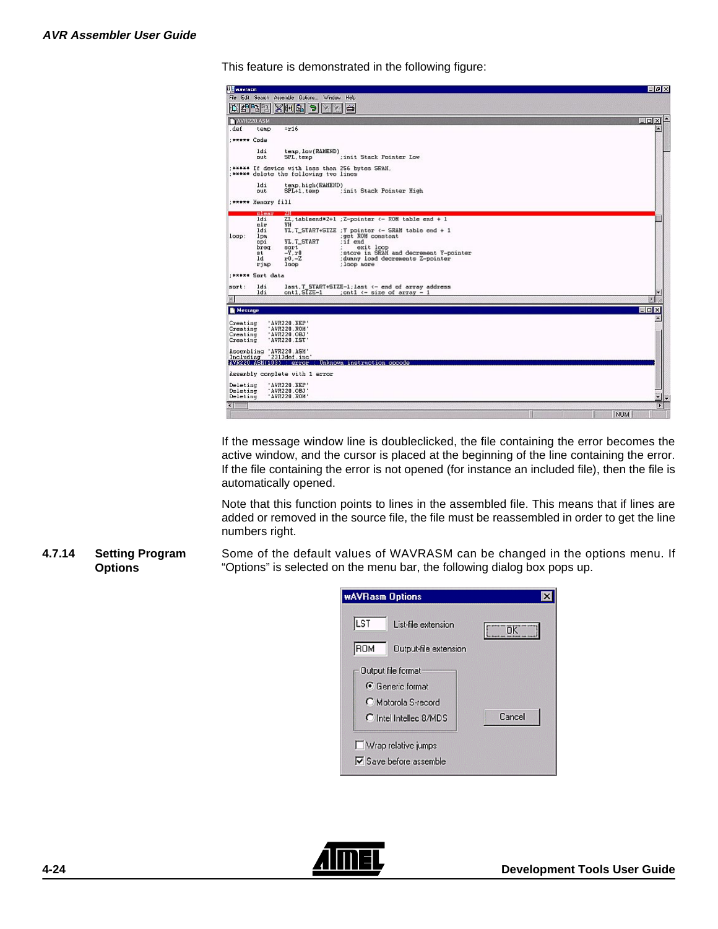This feature is demonstrated in the following figure:

| <b>进</b> wavrasm     |                        |                                                                                            |                                                                                             |  | $E$ $R$ $X$         |
|----------------------|------------------------|--------------------------------------------------------------------------------------------|---------------------------------------------------------------------------------------------|--|---------------------|
|                      |                        | Fle Edit Search Assemble Options Window Help                                               |                                                                                             |  |                     |
|                      |                        | DPBBXHGDPXAG                                                                               |                                                                                             |  |                     |
| AVR220.ASM           |                        |                                                                                            |                                                                                             |  | $  \times$          |
| def                  | temp                   | $=$ r16                                                                                    |                                                                                             |  | A                   |
| <b>***** Code</b>    |                        |                                                                                            |                                                                                             |  |                     |
|                      | 1d <sub>i</sub><br>put | temp, low(RAMEND)<br>SPL, tenp                                                             | :init Stack Pointer Low                                                                     |  |                     |
|                      |                        | : ***** If device with less than 256 bytes SRAM.<br>: ***** delete the following tvo lines |                                                                                             |  |                     |
|                      | ldi<br>out             | temp.high(RAMEND)<br>SPL+1, temp                                                           | :init Stack Pointer High                                                                    |  |                     |
|                      | : ***** Henory fill    |                                                                                            |                                                                                             |  |                     |
|                      | clear<br>1di<br>clr    | zн<br>YH                                                                                   | $ZI$ , tableend*2+1 ; Z-pointer <- ROM table end + 1                                        |  |                     |
| loop:                | ldi<br>1pm             | YL.T_START                                                                                 | YL.T_START+SIZE :Y pointer <- SRAM table end + 1<br>get ROM constant                        |  |                     |
|                      | cpi<br>breg            | sort                                                                                       | :if end<br>exit loop                                                                        |  |                     |
|                      | st.<br>1d<br>rjmp      | $-Y.r0$<br>$r0, -2$<br>laop                                                                | :store in SRAM and decrement Y-pointer<br>:dumny load decrements Z-pointer<br>:loop nore    |  |                     |
|                      | : ***** Sort data      |                                                                                            |                                                                                             |  |                     |
| sort:                | 1di<br>ldi             | $cnt1.SIZE-1$                                                                              | last, T_START+SIZE-1; last <- end of array address<br>: cntl $\leftarrow$ size of array - 1 |  |                     |
| H                    |                        |                                                                                            |                                                                                             |  | IE                  |
| <b>Message</b>       |                        |                                                                                            |                                                                                             |  | $=$ $\Box$ $\times$ |
| Creating<br>Creating |                        | ' AVR220. EEP'<br>'AVR220.ROM'                                                             |                                                                                             |  | ÷                   |
| Creating<br>Creating |                        | 'AVR220.0BJ'<br>'AVR220.LST'                                                               |                                                                                             |  |                     |
|                      |                        | Assembling 'AVR220.ASM'                                                                    |                                                                                             |  |                     |
|                      |                        | Including '2313def.inc'                                                                    | AVR220 ASM(103) : error : Unknown instruction opcode                                        |  |                     |
|                      |                        | Assembly complete with 1 error                                                             |                                                                                             |  |                     |
| Deleting             |                        | ' AVR220 . EEP'                                                                            |                                                                                             |  |                     |
| Deleting             |                        | 'AVR220.0BJ'                                                                               |                                                                                             |  |                     |
| Deleting             |                        | 'AVR220.ROM'                                                                               |                                                                                             |  | v.                  |
|                      |                        |                                                                                            |                                                                                             |  | <b>NUM</b>          |

If the message window line is doubleclicked, the file containing the error becomes the active window, and the cursor is placed at the beginning of the line containing the error. If the file containing the error is not opened (for instance an included file), then the file is automatically opened.

Note that this function points to lines in the assembled file. This means that if lines are added or removed in the source file, the file must be reassembled in order to get the line numbers right.

**4.7.14 Setting Program Options** Some of the default values of WAVRASM can be changed in the options menu. If "Options" is selected on the menu bar, the following dialog box pops up.

| <b>wAVRasm Options</b>                                                                                                |        |
|-----------------------------------------------------------------------------------------------------------------------|--------|
| LST<br>List-file extension<br>ROM<br><b>Output-file extension</b>                                                     |        |
| Output file format<br><b>C</b> Generic format<br>C Motorola S-record<br>C Intel Intellec 8/MDS<br>Wrap relative jumps | Cancel |
| $\nabla$ Save before assemble                                                                                         |        |

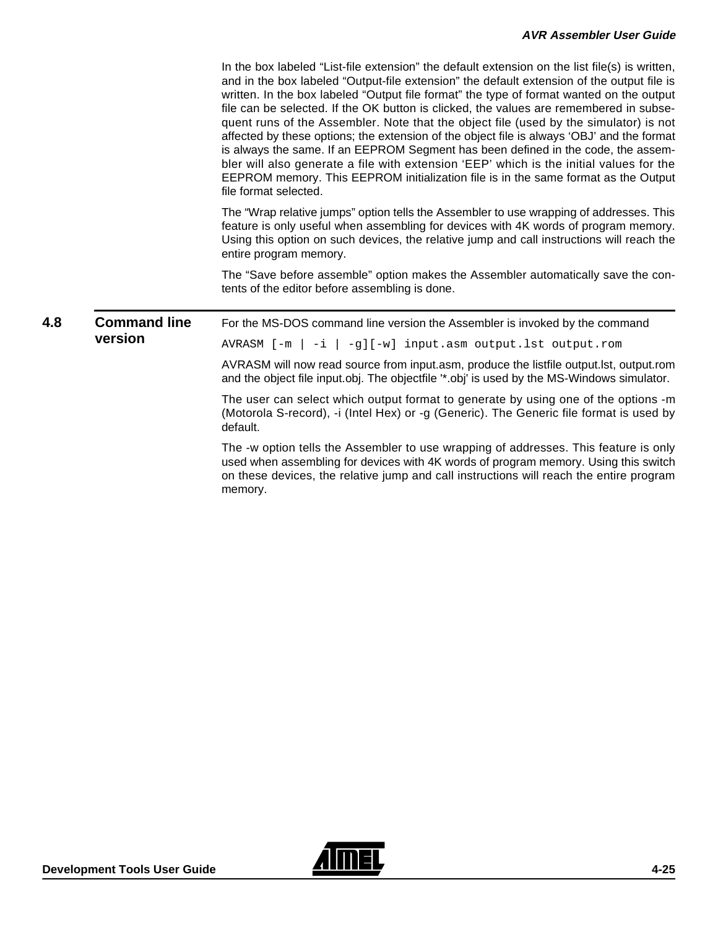In the box labeled "List-file extension" the default extension on the list file(s) is written, and in the box labeled "Output-file extension" the default extension of the output file is written. In the box labeled "Output file format" the type of format wanted on the output file can be selected. If the OK button is clicked, the values are remembered in subsequent runs of the Assembler. Note that the object file (used by the simulator) is not affected by these options; the extension of the object file is always 'OBJ' and the format is always the same. If an EEPROM Segment has been defined in the code, the assembler will also generate a file with extension 'EEP' which is the initial values for the EEPROM memory. This EEPROM initialization file is in the same format as the Output file format selected.

The "Wrap relative jumps" option tells the Assembler to use wrapping of addresses. This feature is only useful when assembling for devices with 4K words of program memory. Using this option on such devices, the relative jump and call instructions will reach the entire program memory.

The "Save before assemble" option makes the Assembler automatically save the contents of the editor before assembling is done.

**4.8 Command line version** For the MS-DOS command line version the Assembler is invoked by the command AVRASM [-m | -i | -g][-w] input.asm output.lst output.rom AVRASM will now read source from input.asm, produce the listfile output.lst, output.rom and the object file input.obj. The objectfile '\*.obj' is used by the MS-Windows simulator. The user can select which output format to generate by using one of the options -m (Motorola S-record), -i (Intel Hex) or -g (Generic). The Generic file format is used by default. The -w option tells the Assembler to use wrapping of addresses. This feature is only used when assembling for devices with 4K words of program memory. Using this switch on these devices, the relative jump and call instructions will reach the entire program memory.